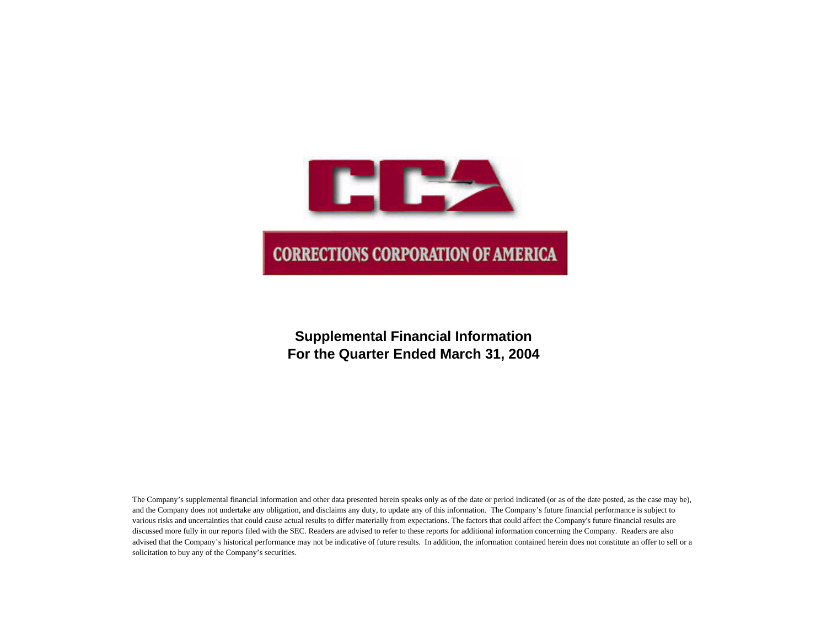

# **Supplemental Financial Information For the Quarter Ended March 31, 2004**

The Company's supplemental financial information and other data presented herein speaks only as of the date or period indicated (or as of the date posted, as the case may be), and the Company does not undertake any obligation, and disclaims any duty, to update any of this information. The Company's future financial performance is subject to various risks and uncertainties that could cause actual results to differ materially from expectations. The factors that could affect the Company's future financial results are discussed more fully in our reports filed with the SEC. Readers are advised to refer to these reports for additional information concerning the Company. Readers are also advised that the Company's historical performance may not be indicative of future results. In addition, the information contained herein does not constitute an offer to sell or a solicitation to buy any of the Company's securities.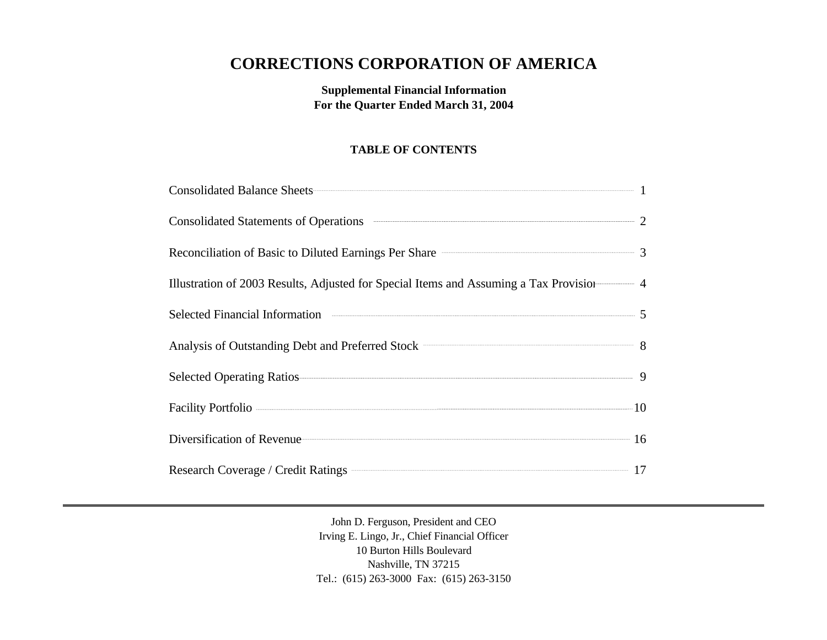# **CORRECTIONS CORPORATION OF AMERICA**

**Supplemental Financial Information For the Quarter Ended March 31, 2004**

# **TABLE OF CONTENTS**

| Consolidated Balance Sheets 1                                                           |  |
|-----------------------------------------------------------------------------------------|--|
| Consolidated Statements of Operations <b>CONSUMER 2</b>                                 |  |
| Reconciliation of Basic to Diluted Earnings Per Share <b>Constanting Strate</b> 3       |  |
| Illustration of 2003 Results, Adjusted for Special Items and Assuming a Tax Provision 4 |  |
|                                                                                         |  |
| Analysis of Outstanding Debt and Preferred Stock <b>CONSUMER 2018</b>                   |  |
| Selected Operating Ratios 9                                                             |  |
|                                                                                         |  |
| Diversification of Revenue 16                                                           |  |
| Research Coverage / Credit Ratings 222 17                                               |  |

John D. Ferguson, President and CEO Irving E. Lingo, Jr., Chief Financial Officer 10 Burton Hills Boulevard Nashville, TN 37215 Tel.: (615) 263-3000 Fax: (615) 263-3150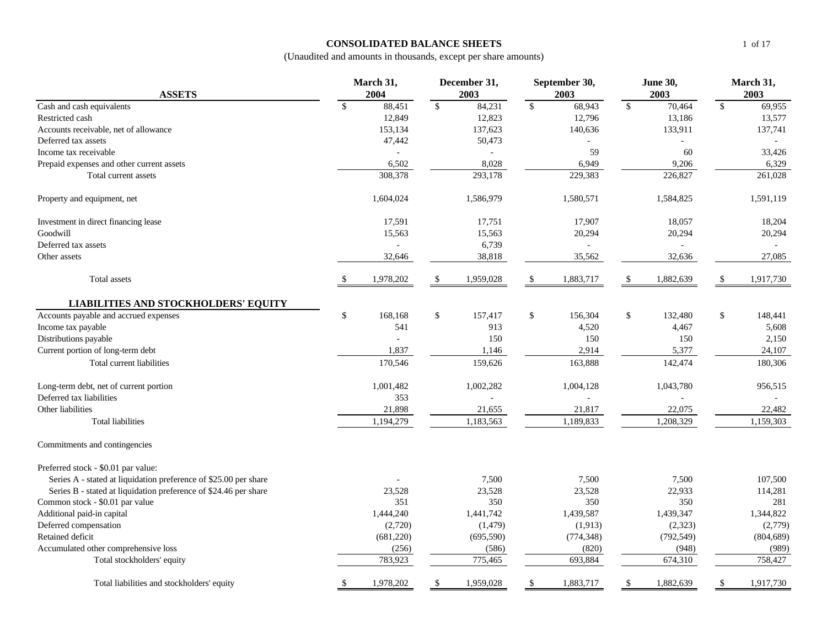## **CONSOLIDATED BALANCE SHEETS**

|                                                                  |      | March 31,      |             | December 31, |              | September 30, |               | <b>June 30,</b> | March 31,    |            |  |
|------------------------------------------------------------------|------|----------------|-------------|--------------|--------------|---------------|---------------|-----------------|--------------|------------|--|
| <b>ASSETS</b>                                                    |      | 2004           |             | 2003         |              | 2003          |               | 2003            |              | 2003       |  |
| Cash and cash equivalents                                        | \$   | 88,451         | $\sqrt{\ }$ | 84,231       | $\mathbb{S}$ | 68,943        | \$            | 70,464          | \$           | 69,955     |  |
| Restricted cash                                                  |      | 12,849         |             | 12,823       |              | 12,796        |               | 13,186          |              | 13,577     |  |
| Accounts receivable, net of allowance                            |      | 153,134        |             | 137,623      |              | 140,636       |               | 133,911         |              | 137,741    |  |
| Deferred tax assets                                              |      | 47,442         |             | 50,473       |              |               |               |                 |              |            |  |
| Income tax receivable                                            |      | $\overline{a}$ |             | $\sim$       |              | 59            |               | 60              |              | 33,426     |  |
| Prepaid expenses and other current assets                        |      | 6,502          |             | 8,028        |              | 6,949         |               | 9,206           |              | 6,329      |  |
| Total current assets                                             |      | 308,378        |             | 293,178      |              | 229,383       |               | 226,827         |              | 261,028    |  |
| Property and equipment, net                                      |      | 1,604,024      |             | 1,586,979    |              | 1,580,571     |               | 1,584,825       |              | 1,591,119  |  |
| Investment in direct financing lease                             |      | 17,591         |             | 17,751       |              | 17,907        |               | 18,057          |              | 18,204     |  |
| Goodwill                                                         |      | 15,563         |             | 15,563       |              | 20,294        |               | 20,294          |              | 20,294     |  |
| Deferred tax assets                                              |      | ÷,             |             | 6,739        |              | ÷,            |               |                 |              | $\sim$     |  |
| Other assets                                                     |      | 32,646         |             | 38,818       |              | 35,562        |               | 32,636          |              | 27,085     |  |
| Total assets                                                     | -\$  | 1,978,202      | -\$         | 1,959,028    | -S           | 1,883,717     | $\mathcal{S}$ | 1,882,639       | $\mathbb{S}$ | 1,917,730  |  |
| <b>LIABILITIES AND STOCKHOLDERS' EQUITY</b>                      |      |                |             |              |              |               |               |                 |              |            |  |
| Accounts payable and accrued expenses                            | $\$$ | 168,168        | $\$$        | 157,417      | \$           | 156,304       | \$            | 132,480         | \$           | 148,441    |  |
| Income tax payable                                               |      | 541            |             | 913          |              | 4,520         |               | 4,467           |              | 5,608      |  |
| Distributions payable                                            |      |                |             | 150          |              | 150           |               | 150             |              | 2,150      |  |
| Current portion of long-term debt                                |      | 1,837          |             | 1,146        |              | 2,914         |               | 5,377           |              | 24,107     |  |
| Total current liabilities                                        |      | 170,546        |             | 159,626      |              | 163,888       |               | 142,474         |              | 180,306    |  |
| Long-term debt, net of current portion                           |      | 1,001,482      |             | 1,002,282    |              | 1,004,128     |               | 1,043,780       |              | 956,515    |  |
| Deferred tax liabilities                                         |      | 353            |             |              |              |               |               |                 |              |            |  |
| Other liabilities                                                |      | 21,898         |             | 21,655       |              | 21,817        |               | 22,075          |              | 22,482     |  |
| <b>Total liabilities</b>                                         |      | 1,194,279      |             | 1,183,563    |              | 1,189,833     |               | 1,208,329       |              | 1,159,303  |  |
| Commitments and contingencies                                    |      |                |             |              |              |               |               |                 |              |            |  |
| Preferred stock - \$0.01 par value:                              |      |                |             |              |              |               |               |                 |              |            |  |
| Series A - stated at liquidation preference of \$25.00 per share |      |                |             | 7,500        |              | 7,500         |               | 7,500           |              | 107,500    |  |
| Series B - stated at liquidation preference of \$24.46 per share |      | 23,528         |             | 23,528       |              | 23,528        |               | 22,933          |              | 114,281    |  |
| Common stock - \$0.01 par value                                  |      | 351            |             | 350          |              | 350           |               | 350             |              | 281        |  |
| Additional paid-in capital                                       |      | 1,444,240      |             | 1,441,742    |              | 1,439,587     |               | 1,439,347       |              | 1,344,822  |  |
| Deferred compensation                                            |      | (2,720)        |             | (1, 479)     |              | (1,913)       |               | (2, 323)        |              | (2,779)    |  |
| Retained deficit                                                 |      | (681,220)      |             | (695,590)    |              | (774, 348)    |               | (792, 549)      |              | (804, 689) |  |
| Accumulated other comprehensive loss                             |      | (256)          |             | (586)        |              | (820)         |               | (948)           |              | (989)      |  |
| Total stockholders' equity                                       |      | 783,923        |             | 775,465      |              | 693,884       |               | 674,310         |              | 758,427    |  |
| Total liabilities and stockholders' equity                       | \$   | 1,978,202      | \$          | 1,959,028    | \$           | 1,883,717     | <sup>\$</sup> | 1,882,639       | \$           | 1,917,730  |  |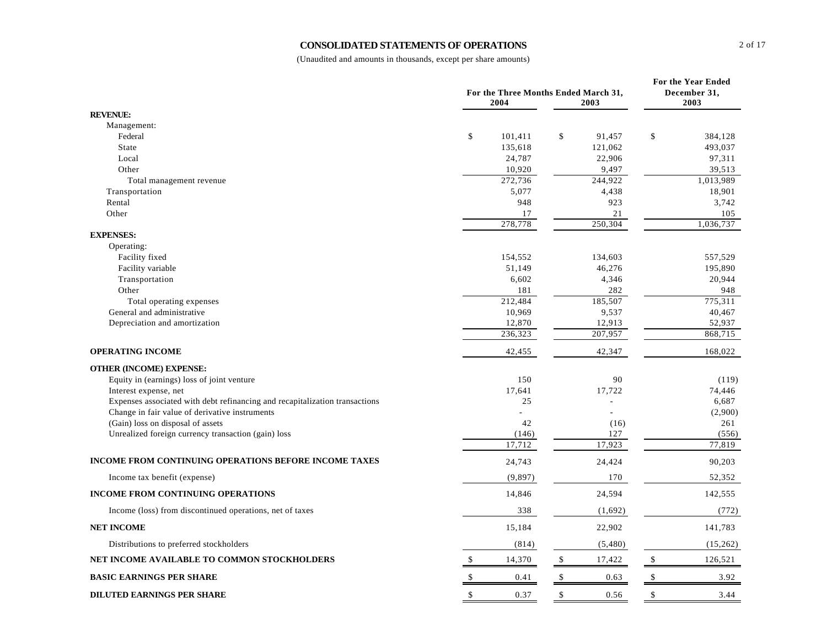### **CONSOLIDATED STATEMENTS OF OPERATIONS**

|                                                                             | For the Three Months Ended March 31,<br>2004 |                  |              |              |              |                     |  |  |  |  |
|-----------------------------------------------------------------------------|----------------------------------------------|------------------|--------------|--------------|--------------|---------------------|--|--|--|--|
| <b>REVENUE:</b>                                                             |                                              |                  |              |              |              |                     |  |  |  |  |
| Management:                                                                 |                                              |                  |              |              |              |                     |  |  |  |  |
| Federal                                                                     | \$                                           | 101,411          | $\mathbb{S}$ | 91,457       | \$           | 384,128             |  |  |  |  |
| State                                                                       |                                              | 135,618          |              | 121,062      |              | 493,037             |  |  |  |  |
| Local                                                                       |                                              | 24,787           |              | 22,906       |              | 97,311              |  |  |  |  |
| Other                                                                       |                                              | 10,920           |              | 9,497        |              | 39,513              |  |  |  |  |
| Total management revenue                                                    |                                              | 272,736<br>5,077 |              | 244,922      |              | 1,013,989<br>18,901 |  |  |  |  |
| Transportation<br>Rental                                                    |                                              | 948              |              | 4,438<br>923 |              | 3,742               |  |  |  |  |
| Other                                                                       |                                              | 17               |              | 21           |              | 105                 |  |  |  |  |
|                                                                             |                                              | 278,778          |              | 250,304      |              | 1,036,737           |  |  |  |  |
| <b>EXPENSES:</b>                                                            |                                              |                  |              |              |              |                     |  |  |  |  |
| Operating:                                                                  |                                              |                  |              |              |              |                     |  |  |  |  |
| Facility fixed                                                              |                                              | 154,552          |              | 134,603      |              | 557,529             |  |  |  |  |
| Facility variable                                                           |                                              | 51,149           |              | 46,276       |              | 195,890             |  |  |  |  |
| Transportation                                                              |                                              | 6,602            |              | 4,346        |              | 20,944              |  |  |  |  |
| Other                                                                       |                                              | 181              |              | 282          |              | 948                 |  |  |  |  |
| Total operating expenses                                                    |                                              | 212,484          |              | 185,507      |              | 775,311             |  |  |  |  |
| General and administrative                                                  |                                              | 10,969           |              | 9,537        |              | 40,467              |  |  |  |  |
| Depreciation and amortization                                               |                                              | 12,870           |              | 12,913       |              | 52,937              |  |  |  |  |
|                                                                             |                                              | 236,323          |              | 207,957      |              | 868,715             |  |  |  |  |
| <b>OPERATING INCOME</b>                                                     |                                              | 42,455           |              | 42,347       |              | 168,022             |  |  |  |  |
| <b>OTHER (INCOME) EXPENSE:</b>                                              |                                              |                  |              |              |              |                     |  |  |  |  |
| Equity in (earnings) loss of joint venture                                  |                                              | 150              |              | 90           |              | (119)               |  |  |  |  |
| Interest expense, net                                                       |                                              | 17,641           |              | 17,722       |              | 74,446              |  |  |  |  |
| Expenses associated with debt refinancing and recapitalization transactions |                                              | 25               |              |              |              | 6,687               |  |  |  |  |
| Change in fair value of derivative instruments                              |                                              |                  |              |              |              | (2,900)             |  |  |  |  |
| (Gain) loss on disposal of assets                                           |                                              | 42               |              | (16)         |              | 261                 |  |  |  |  |
| Unrealized foreign currency transaction (gain) loss                         |                                              | (146)            |              | 127          |              | (556)               |  |  |  |  |
|                                                                             |                                              | 17,712           |              | 17,923       |              | 77,819              |  |  |  |  |
| <b>INCOME FROM CONTINUING OPERATIONS BEFORE INCOME TAXES</b>                |                                              | 24,743           |              | 24,424       |              | 90,203              |  |  |  |  |
| Income tax benefit (expense)                                                |                                              | (9, 897)         |              | 170          |              | 52,352              |  |  |  |  |
| <b>INCOME FROM CONTINUING OPERATIONS</b>                                    |                                              | 14,846           |              | 24,594       |              | 142,555             |  |  |  |  |
| Income (loss) from discontinued operations, net of taxes                    |                                              | 338              |              | (1,692)      |              | (772)               |  |  |  |  |
| <b>NET INCOME</b>                                                           |                                              | 15,184           |              | 22,902       |              | 141,783             |  |  |  |  |
| Distributions to preferred stockholders                                     |                                              | (814)            |              | (5,480)      |              | (15,262)            |  |  |  |  |
| NET INCOME AVAILABLE TO COMMON STOCKHOLDERS                                 | \$                                           | 14,370           | \$           | 17,422       | $\$\,$       | 126,521             |  |  |  |  |
| <b>BASIC EARNINGS PER SHARE</b>                                             | $\mathbb{S}$                                 | 0.41             | $\$\,$       | 0.63         | $\mathbb{S}$ | 3.92                |  |  |  |  |
| <b>DILUTED EARNINGS PER SHARE</b>                                           | \$                                           | 0.37             | $\mathbb{S}$ | 0.56         | \$           | 3.44                |  |  |  |  |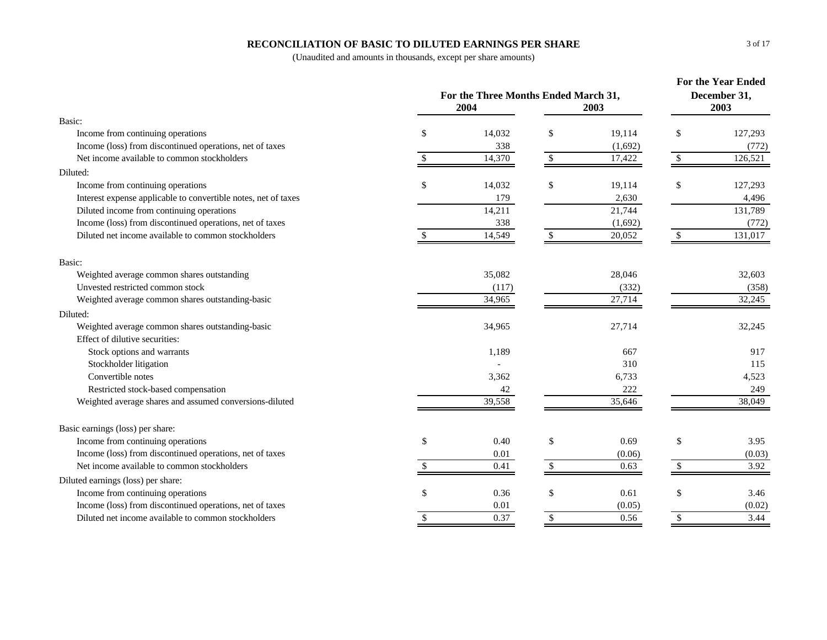## **RECONCILIATION OF BASIC TO DILUTED EARNINGS PER SHARE**

| Basic:<br>\$<br>\$<br>$\mathcal{S}$<br>14,032<br>19,114<br>127,293<br>Income from continuing operations<br>Income (loss) from discontinued operations, net of taxes<br>338<br>(1,692)<br>(772)<br>Net income available to common stockholders<br>14,370<br>\$<br>17,422<br>126,521<br>$\mathbb{S}$<br>Diluted:<br>14,032<br>\$<br>Income from continuing operations<br>\$<br>19,114<br>\$<br>127,293<br>Interest expense applicable to convertible notes, net of taxes<br>179<br>2,630<br>4,496<br>14,211<br>21,744<br>Diluted income from continuing operations<br>131,789<br>Income (loss) from discontinued operations, net of taxes<br>338<br>(1,692)<br>(772)<br>Diluted net income available to common stockholders<br>14,549<br>131,017<br>20,052<br>\$<br>Basic:<br>35,082<br>Weighted average common shares outstanding<br>28,046<br>32,603<br>Unvested restricted common stock<br>(117)<br>(332)<br>(358)<br>27,714<br>32,245<br>Weighted average common shares outstanding-basic<br>34,965<br>Diluted:<br>Weighted average common shares outstanding-basic<br>34,965<br>27,714<br>32,245<br>Effect of dilutive securities:<br>Stock options and warrants<br>1,189<br>667<br>917<br>310<br>Stockholder litigation<br>115<br>Convertible notes<br>3,362<br>6,733<br>4,523<br>222<br>Restricted stock-based compensation<br>249<br>42<br>35,646<br>Weighted average shares and assumed conversions-diluted<br>39,558<br>38,049<br>Basic earnings (loss) per share:<br>Income from continuing operations<br>\$<br>0.40<br>\$<br>0.69<br>\$<br>3.95<br>Income (loss) from discontinued operations, net of taxes<br>(0.03)<br>0.01<br>(0.06)<br>Net income available to common stockholders<br>3.92<br>0.41<br>\$.<br>0.63<br>Diluted earnings (loss) per share:<br>Income from continuing operations<br>0.36<br>\$<br>0.61<br>\$<br>\$<br>3.46<br>Income (loss) from discontinued operations, net of taxes<br>0.01<br>(0.05)<br>(0.02)<br>3.44<br>Diluted net income available to common stockholders<br>0.37<br>\$<br>0.56<br><sup>\$</sup><br>\$ | For the Three Months Ended March 31, | <b>For the Year Ended</b><br>December 31,<br>2003 |  |  |  |
|----------------------------------------------------------------------------------------------------------------------------------------------------------------------------------------------------------------------------------------------------------------------------------------------------------------------------------------------------------------------------------------------------------------------------------------------------------------------------------------------------------------------------------------------------------------------------------------------------------------------------------------------------------------------------------------------------------------------------------------------------------------------------------------------------------------------------------------------------------------------------------------------------------------------------------------------------------------------------------------------------------------------------------------------------------------------------------------------------------------------------------------------------------------------------------------------------------------------------------------------------------------------------------------------------------------------------------------------------------------------------------------------------------------------------------------------------------------------------------------------------------------------------------------------------------------------------------------------------------------------------------------------------------------------------------------------------------------------------------------------------------------------------------------------------------------------------------------------------------------------------------------------------------------------------------------------------------------------------------------------------------------------------------------------------------|--------------------------------------|---------------------------------------------------|--|--|--|
|                                                                                                                                                                                                                                                                                                                                                                                                                                                                                                                                                                                                                                                                                                                                                                                                                                                                                                                                                                                                                                                                                                                                                                                                                                                                                                                                                                                                                                                                                                                                                                                                                                                                                                                                                                                                                                                                                                                                                                                                                                                          |                                      |                                                   |  |  |  |
|                                                                                                                                                                                                                                                                                                                                                                                                                                                                                                                                                                                                                                                                                                                                                                                                                                                                                                                                                                                                                                                                                                                                                                                                                                                                                                                                                                                                                                                                                                                                                                                                                                                                                                                                                                                                                                                                                                                                                                                                                                                          |                                      |                                                   |  |  |  |
|                                                                                                                                                                                                                                                                                                                                                                                                                                                                                                                                                                                                                                                                                                                                                                                                                                                                                                                                                                                                                                                                                                                                                                                                                                                                                                                                                                                                                                                                                                                                                                                                                                                                                                                                                                                                                                                                                                                                                                                                                                                          |                                      |                                                   |  |  |  |
|                                                                                                                                                                                                                                                                                                                                                                                                                                                                                                                                                                                                                                                                                                                                                                                                                                                                                                                                                                                                                                                                                                                                                                                                                                                                                                                                                                                                                                                                                                                                                                                                                                                                                                                                                                                                                                                                                                                                                                                                                                                          |                                      |                                                   |  |  |  |
|                                                                                                                                                                                                                                                                                                                                                                                                                                                                                                                                                                                                                                                                                                                                                                                                                                                                                                                                                                                                                                                                                                                                                                                                                                                                                                                                                                                                                                                                                                                                                                                                                                                                                                                                                                                                                                                                                                                                                                                                                                                          |                                      |                                                   |  |  |  |
|                                                                                                                                                                                                                                                                                                                                                                                                                                                                                                                                                                                                                                                                                                                                                                                                                                                                                                                                                                                                                                                                                                                                                                                                                                                                                                                                                                                                                                                                                                                                                                                                                                                                                                                                                                                                                                                                                                                                                                                                                                                          |                                      |                                                   |  |  |  |
|                                                                                                                                                                                                                                                                                                                                                                                                                                                                                                                                                                                                                                                                                                                                                                                                                                                                                                                                                                                                                                                                                                                                                                                                                                                                                                                                                                                                                                                                                                                                                                                                                                                                                                                                                                                                                                                                                                                                                                                                                                                          |                                      |                                                   |  |  |  |
|                                                                                                                                                                                                                                                                                                                                                                                                                                                                                                                                                                                                                                                                                                                                                                                                                                                                                                                                                                                                                                                                                                                                                                                                                                                                                                                                                                                                                                                                                                                                                                                                                                                                                                                                                                                                                                                                                                                                                                                                                                                          |                                      |                                                   |  |  |  |
|                                                                                                                                                                                                                                                                                                                                                                                                                                                                                                                                                                                                                                                                                                                                                                                                                                                                                                                                                                                                                                                                                                                                                                                                                                                                                                                                                                                                                                                                                                                                                                                                                                                                                                                                                                                                                                                                                                                                                                                                                                                          |                                      |                                                   |  |  |  |
|                                                                                                                                                                                                                                                                                                                                                                                                                                                                                                                                                                                                                                                                                                                                                                                                                                                                                                                                                                                                                                                                                                                                                                                                                                                                                                                                                                                                                                                                                                                                                                                                                                                                                                                                                                                                                                                                                                                                                                                                                                                          |                                      |                                                   |  |  |  |
|                                                                                                                                                                                                                                                                                                                                                                                                                                                                                                                                                                                                                                                                                                                                                                                                                                                                                                                                                                                                                                                                                                                                                                                                                                                                                                                                                                                                                                                                                                                                                                                                                                                                                                                                                                                                                                                                                                                                                                                                                                                          |                                      |                                                   |  |  |  |
|                                                                                                                                                                                                                                                                                                                                                                                                                                                                                                                                                                                                                                                                                                                                                                                                                                                                                                                                                                                                                                                                                                                                                                                                                                                                                                                                                                                                                                                                                                                                                                                                                                                                                                                                                                                                                                                                                                                                                                                                                                                          |                                      |                                                   |  |  |  |
|                                                                                                                                                                                                                                                                                                                                                                                                                                                                                                                                                                                                                                                                                                                                                                                                                                                                                                                                                                                                                                                                                                                                                                                                                                                                                                                                                                                                                                                                                                                                                                                                                                                                                                                                                                                                                                                                                                                                                                                                                                                          |                                      |                                                   |  |  |  |
|                                                                                                                                                                                                                                                                                                                                                                                                                                                                                                                                                                                                                                                                                                                                                                                                                                                                                                                                                                                                                                                                                                                                                                                                                                                                                                                                                                                                                                                                                                                                                                                                                                                                                                                                                                                                                                                                                                                                                                                                                                                          |                                      |                                                   |  |  |  |
|                                                                                                                                                                                                                                                                                                                                                                                                                                                                                                                                                                                                                                                                                                                                                                                                                                                                                                                                                                                                                                                                                                                                                                                                                                                                                                                                                                                                                                                                                                                                                                                                                                                                                                                                                                                                                                                                                                                                                                                                                                                          |                                      |                                                   |  |  |  |
|                                                                                                                                                                                                                                                                                                                                                                                                                                                                                                                                                                                                                                                                                                                                                                                                                                                                                                                                                                                                                                                                                                                                                                                                                                                                                                                                                                                                                                                                                                                                                                                                                                                                                                                                                                                                                                                                                                                                                                                                                                                          |                                      |                                                   |  |  |  |
|                                                                                                                                                                                                                                                                                                                                                                                                                                                                                                                                                                                                                                                                                                                                                                                                                                                                                                                                                                                                                                                                                                                                                                                                                                                                                                                                                                                                                                                                                                                                                                                                                                                                                                                                                                                                                                                                                                                                                                                                                                                          |                                      |                                                   |  |  |  |
|                                                                                                                                                                                                                                                                                                                                                                                                                                                                                                                                                                                                                                                                                                                                                                                                                                                                                                                                                                                                                                                                                                                                                                                                                                                                                                                                                                                                                                                                                                                                                                                                                                                                                                                                                                                                                                                                                                                                                                                                                                                          |                                      |                                                   |  |  |  |
|                                                                                                                                                                                                                                                                                                                                                                                                                                                                                                                                                                                                                                                                                                                                                                                                                                                                                                                                                                                                                                                                                                                                                                                                                                                                                                                                                                                                                                                                                                                                                                                                                                                                                                                                                                                                                                                                                                                                                                                                                                                          |                                      |                                                   |  |  |  |
|                                                                                                                                                                                                                                                                                                                                                                                                                                                                                                                                                                                                                                                                                                                                                                                                                                                                                                                                                                                                                                                                                                                                                                                                                                                                                                                                                                                                                                                                                                                                                                                                                                                                                                                                                                                                                                                                                                                                                                                                                                                          |                                      |                                                   |  |  |  |
|                                                                                                                                                                                                                                                                                                                                                                                                                                                                                                                                                                                                                                                                                                                                                                                                                                                                                                                                                                                                                                                                                                                                                                                                                                                                                                                                                                                                                                                                                                                                                                                                                                                                                                                                                                                                                                                                                                                                                                                                                                                          |                                      |                                                   |  |  |  |
|                                                                                                                                                                                                                                                                                                                                                                                                                                                                                                                                                                                                                                                                                                                                                                                                                                                                                                                                                                                                                                                                                                                                                                                                                                                                                                                                                                                                                                                                                                                                                                                                                                                                                                                                                                                                                                                                                                                                                                                                                                                          |                                      |                                                   |  |  |  |
|                                                                                                                                                                                                                                                                                                                                                                                                                                                                                                                                                                                                                                                                                                                                                                                                                                                                                                                                                                                                                                                                                                                                                                                                                                                                                                                                                                                                                                                                                                                                                                                                                                                                                                                                                                                                                                                                                                                                                                                                                                                          |                                      |                                                   |  |  |  |
|                                                                                                                                                                                                                                                                                                                                                                                                                                                                                                                                                                                                                                                                                                                                                                                                                                                                                                                                                                                                                                                                                                                                                                                                                                                                                                                                                                                                                                                                                                                                                                                                                                                                                                                                                                                                                                                                                                                                                                                                                                                          |                                      |                                                   |  |  |  |
|                                                                                                                                                                                                                                                                                                                                                                                                                                                                                                                                                                                                                                                                                                                                                                                                                                                                                                                                                                                                                                                                                                                                                                                                                                                                                                                                                                                                                                                                                                                                                                                                                                                                                                                                                                                                                                                                                                                                                                                                                                                          |                                      |                                                   |  |  |  |
|                                                                                                                                                                                                                                                                                                                                                                                                                                                                                                                                                                                                                                                                                                                                                                                                                                                                                                                                                                                                                                                                                                                                                                                                                                                                                                                                                                                                                                                                                                                                                                                                                                                                                                                                                                                                                                                                                                                                                                                                                                                          |                                      |                                                   |  |  |  |
|                                                                                                                                                                                                                                                                                                                                                                                                                                                                                                                                                                                                                                                                                                                                                                                                                                                                                                                                                                                                                                                                                                                                                                                                                                                                                                                                                                                                                                                                                                                                                                                                                                                                                                                                                                                                                                                                                                                                                                                                                                                          |                                      |                                                   |  |  |  |
|                                                                                                                                                                                                                                                                                                                                                                                                                                                                                                                                                                                                                                                                                                                                                                                                                                                                                                                                                                                                                                                                                                                                                                                                                                                                                                                                                                                                                                                                                                                                                                                                                                                                                                                                                                                                                                                                                                                                                                                                                                                          |                                      |                                                   |  |  |  |
|                                                                                                                                                                                                                                                                                                                                                                                                                                                                                                                                                                                                                                                                                                                                                                                                                                                                                                                                                                                                                                                                                                                                                                                                                                                                                                                                                                                                                                                                                                                                                                                                                                                                                                                                                                                                                                                                                                                                                                                                                                                          |                                      |                                                   |  |  |  |
|                                                                                                                                                                                                                                                                                                                                                                                                                                                                                                                                                                                                                                                                                                                                                                                                                                                                                                                                                                                                                                                                                                                                                                                                                                                                                                                                                                                                                                                                                                                                                                                                                                                                                                                                                                                                                                                                                                                                                                                                                                                          |                                      |                                                   |  |  |  |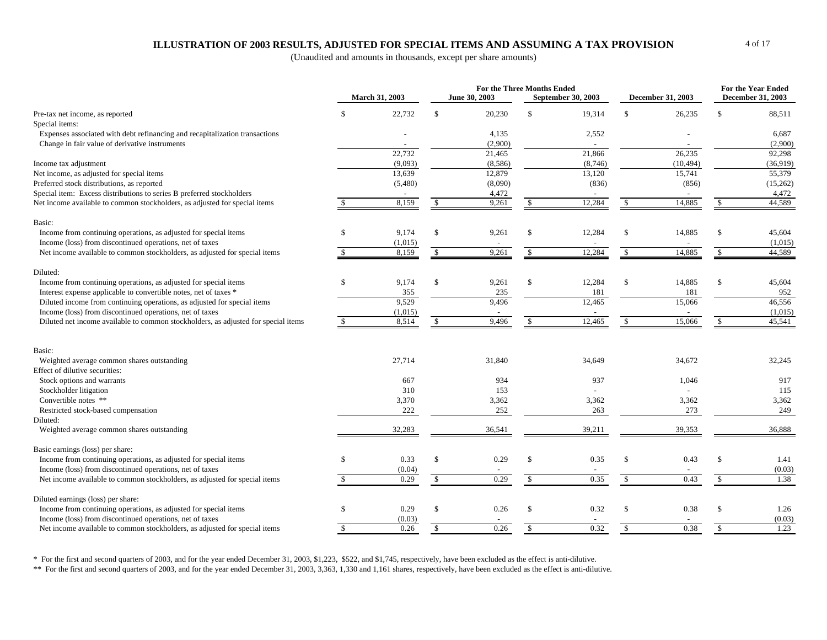## **ILLUSTRATION OF 2003 RESULTS, ADJUSTED FOR SPECIAL ITEMS AND ASSUMING A TAX PROVISION**

(Unaudited and amounts in thousands, except per share amounts)

|                                                                                    |               | <b>March 31, 2003</b> |              | For the Three Months Ended<br>June 30, 2003 |                    | September 30, 2003 |              | <b>December 31, 2003</b> |                    | For the Year Ended<br><b>December 31, 2003</b> |
|------------------------------------------------------------------------------------|---------------|-----------------------|--------------|---------------------------------------------|--------------------|--------------------|--------------|--------------------------|--------------------|------------------------------------------------|
| Pre-tax net income, as reported                                                    | -\$           | 22,732                | \$           | 20,230                                      | $\mathcal{S}$      | 19,314             | \$           | 26,235                   | $\mathcal{S}$      | 88,511                                         |
| Special items:                                                                     |               |                       |              |                                             |                    |                    |              |                          |                    |                                                |
| Expenses associated with debt refinancing and recapitalization transactions        |               |                       |              | 4,135                                       |                    | 2,552              |              |                          |                    | 6,687                                          |
| Change in fair value of derivative instruments                                     |               |                       |              | (2,900)                                     |                    |                    |              |                          |                    | (2,900)                                        |
|                                                                                    |               | 22.732                |              | 21,465                                      |                    | 21,866             |              | 26,235                   |                    | 92,298                                         |
| Income tax adjustment                                                              |               | (9,093)               |              | (8,586)                                     |                    | (8,746)            |              | (10, 494)                |                    | (36,919)                                       |
| Net income, as adjusted for special items                                          |               | 13,639                |              | 12,879                                      |                    | 13,120             |              | 15,741                   |                    | 55,379                                         |
| Preferred stock distributions, as reported                                         |               | (5,480)               |              | (8,090)                                     |                    | (836)              |              | (856)                    |                    | (15,262)                                       |
| Special item: Excess distributions to series B preferred stockholders              |               |                       |              | 4,472                                       |                    |                    |              |                          |                    | 4,472                                          |
| Net income available to common stockholders, as adjusted for special items         |               | 8,159                 | \$           | 9,261                                       | \$                 | 12,284             | \$           | 14,885                   | \$                 | 44,589                                         |
| Basic:                                                                             |               |                       |              |                                             |                    |                    |              |                          |                    |                                                |
| Income from continuing operations, as adjusted for special items                   | $\mathbf{\$}$ | 9,174                 | \$           | 9,261                                       | \$                 | 12,284             | \$           | 14,885                   | \$                 | 45,604                                         |
| Income (loss) from discontinued operations, net of taxes                           |               | (1,015)               |              |                                             |                    |                    |              |                          |                    | (1,015)                                        |
| Net income available to common stockholders, as adjusted for special items         |               | 8,159                 | \$           | 9,261                                       | \$                 | 12,284             | $\mathbb{S}$ | 14,885                   | \$                 | 44,589                                         |
| Diluted:                                                                           |               |                       |              |                                             |                    |                    |              |                          |                    |                                                |
| Income from continuing operations, as adjusted for special items                   | \$            | 9,174                 | \$           | 9,261                                       | $\mathcal{S}$      | 12,284             | \$           | 14,885                   | \$                 | 45,604                                         |
| Interest expense applicable to convertible notes, net of taxes *                   |               | 355                   |              | 235                                         |                    | 181                |              | 181                      |                    | 952                                            |
| Diluted income from continuing operations, as adjusted for special items           |               | 9,529                 |              | 9,496                                       |                    | 12,465             |              | 15,066                   |                    | 46,556                                         |
| Income (loss) from discontinued operations, net of taxes                           |               | (1,015)               |              |                                             |                    |                    |              |                          |                    | (1,015)                                        |
| Diluted net income available to common stockholders, as adjusted for special items |               | 8,514                 | \$           | 9,496                                       |                    | 12,465             |              | 15,066                   | -S                 | 45,541                                         |
|                                                                                    |               |                       |              |                                             |                    |                    |              |                          |                    |                                                |
| Basic:                                                                             |               |                       |              |                                             |                    |                    |              |                          |                    |                                                |
| Weighted average common shares outstanding                                         |               | 27,714                |              | 31,840                                      |                    | 34,649             |              | 34,672                   |                    | 32,245                                         |
| Effect of dilutive securities:                                                     |               |                       |              |                                             |                    |                    |              |                          |                    |                                                |
| Stock options and warrants                                                         |               | 667                   |              | 934                                         |                    | 937                |              | 1,046                    |                    | 917                                            |
| Stockholder litigation                                                             |               | 310                   |              | 153                                         |                    |                    |              |                          |                    | 115                                            |
| Convertible notes **                                                               |               | 3,370                 |              | 3,362                                       |                    | 3,362              |              | 3,362                    |                    | 3,362                                          |
| Restricted stock-based compensation                                                |               | 222                   |              | 252                                         |                    | 263                |              | 273                      |                    | 249                                            |
| Diluted:<br>Weighted average common shares outstanding                             |               | 32,283                |              | 36,541                                      |                    | 39,211             |              | 39,353                   |                    | 36,888                                         |
|                                                                                    |               |                       |              |                                             |                    |                    |              |                          |                    |                                                |
| Basic earnings (loss) per share:                                                   |               |                       |              |                                             |                    |                    |              |                          |                    |                                                |
| Income from continuing operations, as adjusted for special items                   | $\mathcal{S}$ | 0.33                  | \$           | 0.29                                        | \$                 | 0.35               | \$           | 0.43                     | \$                 | 1.41                                           |
| Income (loss) from discontinued operations, net of taxes                           |               | (0.04)                |              |                                             |                    |                    |              |                          |                    | (0.03)                                         |
| Net income available to common stockholders, as adjusted for special items         |               | 0.29                  | $\mathbb{S}$ | 0.29                                        | \$                 | 0.35               | $\mathbb{S}$ | 0.43                     | $\mathcal{S}$      | 1.38                                           |
| Diluted earnings (loss) per share:                                                 |               |                       |              |                                             |                    |                    |              |                          |                    |                                                |
| Income from continuing operations, as adjusted for special items                   | \$            | 0.29                  | \$           | 0.26                                        | \$                 | 0.32               | \$           | 0.38                     | \$                 | 1.26                                           |
| Income (loss) from discontinued operations, net of taxes                           |               | (0.03)                |              |                                             |                    |                    |              |                          |                    | (0.03)                                         |
| Net income available to common stockholders, as adjusted for special items         | <sup>\$</sup> | 0.26                  | $\mathbb{S}$ | 0.26                                        | $\mathbf{\hat{S}}$ | 0.32               | $\mathbb{S}$ | 0.38                     | $\mathbf{\hat{S}}$ | 1.23                                           |

\* For the first and second quarters of 2003, and for the year ended December 31, 2003, \$1,223, \$522, and \$1,745, respectively, have been excluded as the effect is anti-dilutive.

\*\* For the first and second quarters of 2003, and for the year ended December 31, 2003, 3,363, 1,330 and 1,161 shares, respectively, have been excluded as the effect is anti-dilutive.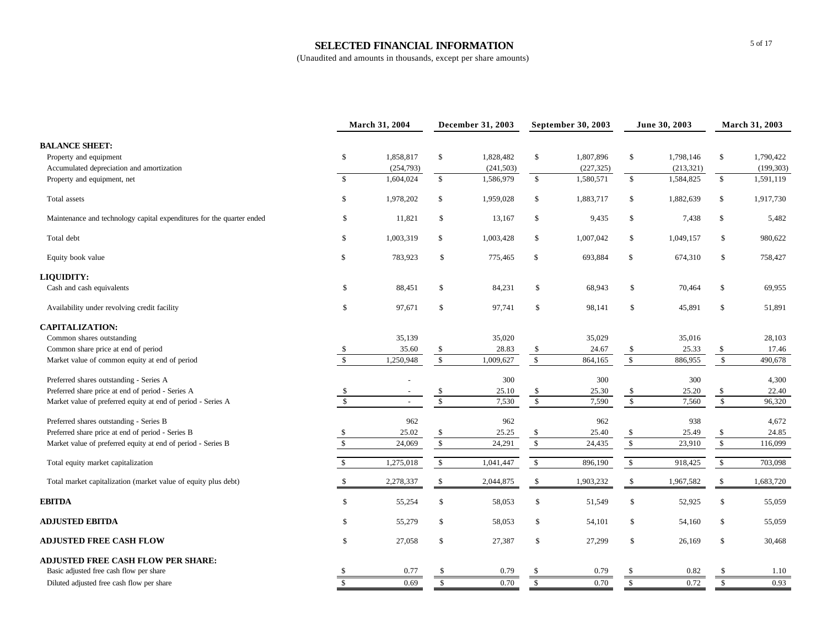### **SELECTED FINANCIAL INFORMATION**

|                                                                       | March 31, 2004          |           | December 31, 2003       |            | September 30, 2003      |            | June 30, 2003           |            | March 31, 2003          |            |
|-----------------------------------------------------------------------|-------------------------|-----------|-------------------------|------------|-------------------------|------------|-------------------------|------------|-------------------------|------------|
| <b>BALANCE SHEET:</b>                                                 |                         |           |                         |            |                         |            |                         |            |                         |            |
| Property and equipment                                                | \$                      | 1,858,817 | \$                      | 1,828,482  | \$                      | 1,807,896  | \$                      | 1,798,146  | \$                      | 1,790,422  |
| Accumulated depreciation and amortization                             |                         | (254,793) |                         | (241, 503) |                         | (227, 325) |                         | (213, 321) |                         | (199, 303) |
| Property and equipment, net                                           | \$                      | 1,604,024 | $\mathbb{S}$            | 1,586,979  | $\mathbb{S}$            | 1,580,571  | \$                      | 1,584,825  | $\mathbb{S}$            | 1,591,119  |
| Total assets                                                          | \$                      | 1,978,202 | $\mathbb{S}$            | 1,959,028  | \$                      | 1,883,717  | \$                      | 1,882,639  | \$                      | 1,917,730  |
| Maintenance and technology capital expenditures for the quarter ended | \$                      | 11,821    | \$                      | 13,167     | \$                      | 9,435      | \$                      | 7,438      | \$                      | 5,482      |
| Total debt                                                            | \$                      | 1,003,319 | \$                      | 1,003,428  | \$                      | 1,007,042  | \$                      | 1,049,157  | \$                      | 980,622    |
| Equity book value                                                     | $\mathbb{S}$            | 783,923   | \$                      | 775,465    | $\mathbb{S}$            | 693,884    | \$                      | 674,310    | $\mathbb{S}$            | 758,427    |
| LIQUIDITY:                                                            |                         |           |                         |            |                         |            |                         |            |                         |            |
| Cash and cash equivalents                                             | \$                      | 88,451    | \$                      | 84,231     | \$                      | 68,943     | \$                      | 70,464     | \$                      | 69,955     |
| Availability under revolving credit facility                          | \$                      | 97,671    | \$                      | 97,741     | \$                      | 98,141     | \$                      | 45,891     | \$                      | 51,891     |
| <b>CAPITALIZATION:</b>                                                |                         |           |                         |            |                         |            |                         |            |                         |            |
| Common shares outstanding                                             |                         | 35,139    |                         | 35,020     |                         | 35,029     |                         | 35,016     |                         | 28,103     |
| Common share price at end of period                                   | \$                      | 35.60     | \$                      | 28.83      | \$                      | 24.67      | \$                      | 25.33      | \$                      | 17.46      |
| Market value of common equity at end of period                        | $\mathbb{S}$            | 1,250,948 | $\mathbb{S}$            | 1,009,627  | $\mathbb{S}$            | 864,165    | $\mathbb{S}$            | 886,955    | $\mathbb{S}$            | 490,678    |
| Preferred shares outstanding - Series A                               |                         |           |                         | 300        |                         | 300        |                         | 300        |                         | 4,300      |
| Preferred share price at end of period - Series A                     | \$                      |           | \$                      | 25.10      | \$                      | 25.30      | \$                      | 25.20      | \$                      | 22.40      |
| Market value of preferred equity at end of period - Series A          | $\sqrt{3}$              | $\sim$    | $\overline{\mathbf{s}}$ | 7,530      | $\sqrt{3}$              | 7,590      | $\sqrt{3}$              | 7,560      | $\sqrt{2}$              | 96,320     |
| Preferred shares outstanding - Series B                               |                         | 962       |                         | 962        |                         | 962        |                         | 938        |                         | 4,672      |
| Preferred share price at end of period - Series B                     | \$                      | 25.02     | \$                      | 25.25      | \$                      | 25.40      | \$                      | 25.49      | \$                      | 24.85      |
| Market value of preferred equity at end of period - Series B          | $\mathbb{S}$            | 24,069    | $\sqrt{2}$              | 24,291     | $\mathbb{S}$            | 24,435     | $\$$                    | 23,910     | $\mathbb{S}$            | 116,099    |
| Total equity market capitalization                                    | $\mathsf{\$}$           | 1,275,018 | $\mathbb{S}$            | 1,041,447  | \$                      | 896,190    | $\mathsf{\$}$           | 918,425    | $\mathbb{S}$            | 703,098    |
| Total market capitalization (market value of equity plus debt)        | \$                      | 2,278,337 | \$                      | 2,044,875  | \$                      | 1,903,232  | \$                      | 1,967,582  | \$                      | 1,683,720  |
| <b>EBITDA</b>                                                         | \$                      | 55,254    | \$                      | 58,053     | \$                      | 51,549     | \$                      | 52,925     | \$                      | 55,059     |
| <b>ADJUSTED EBITDA</b>                                                | \$                      | 55,279    | \$                      | 58,053     | \$                      | 54,101     | \$                      | 54,160     | \$                      | 55,059     |
| <b>ADJUSTED FREE CASH FLOW</b>                                        | \$                      | 27,058    | \$                      | 27,387     | \$                      | 27,299     | $\mathbb{S}$            | 26,169     | \$                      | 30,468     |
| <b>ADJUSTED FREE CASH FLOW PER SHARE:</b>                             |                         |           |                         |            |                         |            |                         |            |                         |            |
| Basic adjusted free cash flow per share                               |                         | 0.77      | \$.                     | 0.79       | -\$                     | 0.79       |                         | 0.82       |                         | 1.10       |
| Diluted adjusted free cash flow per share                             | $\overline{\mathbf{s}}$ | 0.69      | $\overline{\mathbf{s}}$ | 0.70       | $\overline{\mathbf{s}}$ | 0.70       | $\overline{\mathbf{s}}$ | 0.72       | $\overline{\mathbf{s}}$ | 0.93       |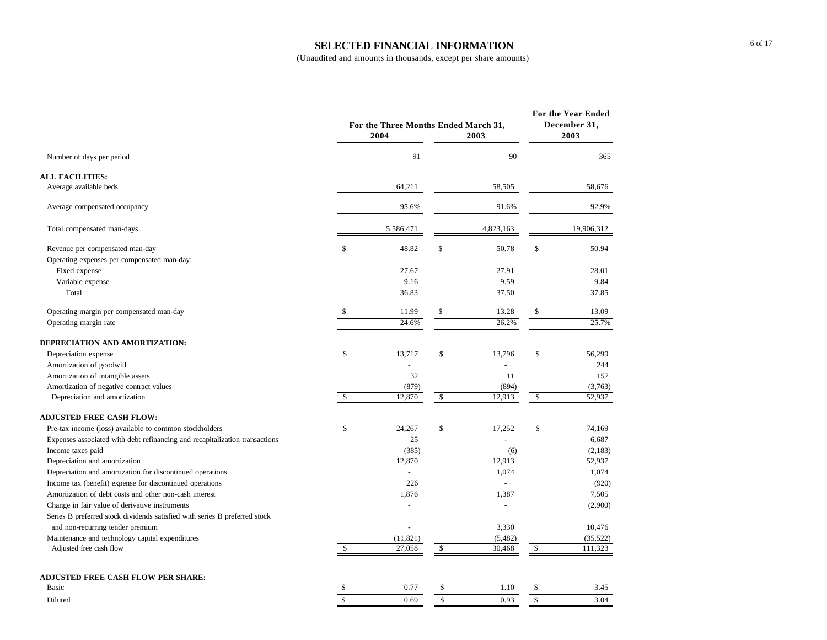### **SELECTED FINANCIAL INFORMATION**

|                                                                             |                    | For the Three Months Ended March 31,<br>2004 |               | 2003           | For the Year Ended<br>December 31,<br>2003 |
|-----------------------------------------------------------------------------|--------------------|----------------------------------------------|---------------|----------------|--------------------------------------------|
| Number of days per period                                                   |                    | 91                                           |               | 90             | 365                                        |
| <b>ALL FACILITIES:</b>                                                      |                    |                                              |               |                |                                            |
| Average available beds                                                      |                    | 64,211                                       |               | 58,505         | 58,676                                     |
| Average compensated occupancy                                               |                    | 95.6%                                        |               | 91.6%          | 92.9%                                      |
| Total compensated man-days                                                  |                    | 5,586,471                                    |               | 4,823,163      | 19,906,312                                 |
| Revenue per compensated man-day                                             | \$                 | 48.82                                        | \$            | 50.78          | \$<br>50.94                                |
| Operating expenses per compensated man-day:                                 |                    |                                              |               |                |                                            |
| Fixed expense                                                               |                    | 27.67                                        |               | 27.91          | 28.01                                      |
| Variable expense                                                            |                    | 9.16                                         |               | 9.59           | 9.84                                       |
| Total                                                                       |                    | 36.83                                        |               | 37.50          | 37.85                                      |
| Operating margin per compensated man-day                                    | S                  | 11.99                                        | \$            | 13.28          | \$<br>13.09                                |
| Operating margin rate                                                       |                    | 24.6%                                        |               | 26.2%          | 25.7%                                      |
| DEPRECIATION AND AMORTIZATION:                                              |                    |                                              |               |                |                                            |
| Depreciation expense                                                        | $\mathbf{\hat{S}}$ | 13.717                                       | \$            | 13.796         | \$<br>56,299                               |
| Amortization of goodwill                                                    |                    |                                              |               |                | 244                                        |
| Amortization of intangible assets                                           |                    | 32                                           |               | 11             | 157                                        |
| Amortization of negative contract values                                    |                    | (879)                                        |               | (894)          | (3,763)                                    |
| Depreciation and amortization                                               | \$                 | 12,870                                       | $\mathcal{S}$ | 12,913         | \$<br>52,937                               |
| <b>ADJUSTED FREE CASH FLOW:</b>                                             |                    |                                              |               |                |                                            |
| Pre-tax income (loss) available to common stockholders                      | \$                 | 24,267                                       | \$            | 17,252         | \$<br>74,169                               |
| Expenses associated with debt refinancing and recapitalization transactions |                    | 25                                           |               |                | 6,687                                      |
| Income taxes paid                                                           |                    | (385)                                        |               | (6)            | (2,183)                                    |
| Depreciation and amortization                                               |                    | 12,870                                       |               | 12,913         | 52,937                                     |
| Depreciation and amortization for discontinued operations                   |                    | $\overline{a}$                               |               | 1,074          | 1,074                                      |
| Income tax (benefit) expense for discontinued operations                    |                    | 226                                          |               | $\overline{a}$ | (920)                                      |
| Amortization of debt costs and other non-cash interest                      |                    | 1,876                                        |               | 1,387          | 7,505                                      |
| Change in fair value of derivative instruments                              |                    | $\overline{a}$                               |               | $\overline{a}$ | (2,900)                                    |
| Series B preferred stock dividends satisfied with series B preferred stock  |                    |                                              |               |                |                                            |
| and non-recurring tender premium                                            |                    | $\overline{a}$                               |               | 3,330          | 10,476                                     |
| Maintenance and technology capital expenditures                             |                    | (11, 821)                                    |               | (5,482)        | (35, 522)                                  |
| Adjusted free cash flow                                                     | \$                 | 27,058                                       | \$            | 30,468         | \$<br>111,323                              |
| <b>ADJUSTED FREE CASH FLOW PER SHARE:</b>                                   |                    |                                              |               |                |                                            |
| Basic                                                                       | \$                 | 0.77                                         | \$            | 1.10           | \$<br>3.45                                 |
| Diluted                                                                     | \$                 | 0.69                                         | \$            | 0.93           | \$<br>3.04                                 |
|                                                                             |                    |                                              |               |                |                                            |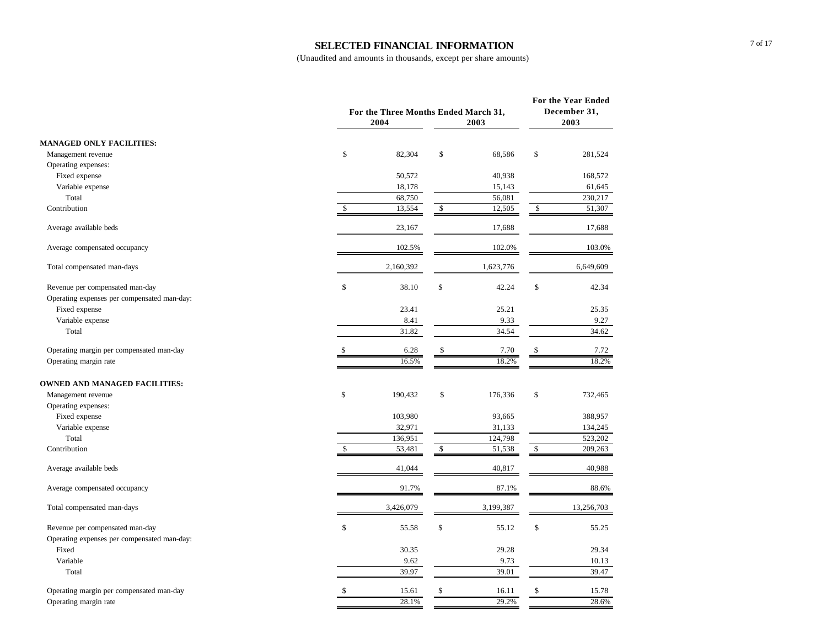### **SELECTED FINANCIAL INFORMATION**

|                                             | For the Three Months Ended March 31,<br>2004 |                       | 2003      | For the Year Ended<br>December 31,<br>2003 |            |
|---------------------------------------------|----------------------------------------------|-----------------------|-----------|--------------------------------------------|------------|
| <b>MANAGED ONLY FACILITIES:</b>             |                                              |                       |           |                                            |            |
| Management revenue                          | \$                                           | 82,304<br>\$          | 68,586    | \$                                         | 281,524    |
| Operating expenses:                         |                                              |                       |           |                                            |            |
| Fixed expense                               |                                              | 50,572                | 40,938    |                                            | 168,572    |
| Variable expense                            |                                              | 18,178                | 15,143    |                                            | 61,645     |
| Total                                       |                                              | 68,750                | 56,081    |                                            | 230,217    |
| Contribution                                | \$                                           | 13,554<br>\$          | 12,505    | \$                                         | 51,307     |
| Average available beds                      |                                              | 23,167                | 17,688    |                                            | 17,688     |
| Average compensated occupancy               |                                              | 102.5%                | 102.0%    |                                            | 103.0%     |
| Total compensated man-days                  | 2,160,392                                    |                       | 1,623,776 |                                            | 6,649,609  |
| Revenue per compensated man-day             | \$                                           | \$<br>38.10           | 42.24     | \$                                         | 42.34      |
| Operating expenses per compensated man-day: |                                              |                       |           |                                            |            |
| Fixed expense                               |                                              | 23.41                 | 25.21     |                                            | 25.35      |
| Variable expense                            |                                              | 8.41                  | 9.33      |                                            | 9.27       |
| Total                                       |                                              | 31.82                 | 34.54     |                                            | 34.62      |
| Operating margin per compensated man-day    | \$                                           | \$<br>6.28            | 7.70      | \$                                         | 7.72       |
| Operating margin rate                       |                                              | 16.5%                 | 18.2%     |                                            | 18.2%      |
| <b>OWNED AND MANAGED FACILITIES:</b>        |                                              |                       |           |                                            |            |
| Management revenue                          | \$                                           | 190,432<br>\$         | 176,336   | \$                                         | 732,465    |
| Operating expenses:                         |                                              |                       |           |                                            |            |
| Fixed expense                               |                                              | 103,980               | 93,665    |                                            | 388,957    |
| Variable expense                            |                                              | 32,971                | 31,133    |                                            | 134,245    |
| Total                                       |                                              | 136,951               | 124,798   |                                            | 523,202    |
| Contribution                                | \$                                           | 53,481<br>\$          | 51,538    | $\sqrt{\frac{2}{3}}$                       | 209,263    |
| Average available beds                      |                                              | 41,044                | 40,817    |                                            | 40,988     |
| Average compensated occupancy               |                                              | 91.7%                 | 87.1%     |                                            | 88.6%      |
| Total compensated man-days                  | 3,426,079                                    |                       | 3,199,387 |                                            | 13,256,703 |
| Revenue per compensated man-day             | \$                                           | $\mathbb{S}$<br>55.58 | 55.12     | \$                                         | 55.25      |
| Operating expenses per compensated man-day: |                                              |                       |           |                                            |            |
| Fixed                                       |                                              | 30.35                 | 29.28     |                                            | 29.34      |
| Variable                                    |                                              | 9.62                  | 9.73      |                                            | 10.13      |
| Total                                       |                                              | 39.97                 | 39.01     |                                            | 39.47      |
| Operating margin per compensated man-day    | \$                                           | \$<br>15.61           | 16.11     | \$                                         | 15.78      |
| Operating margin rate                       |                                              | 28.1%                 | 29.2%     |                                            | 28.6%      |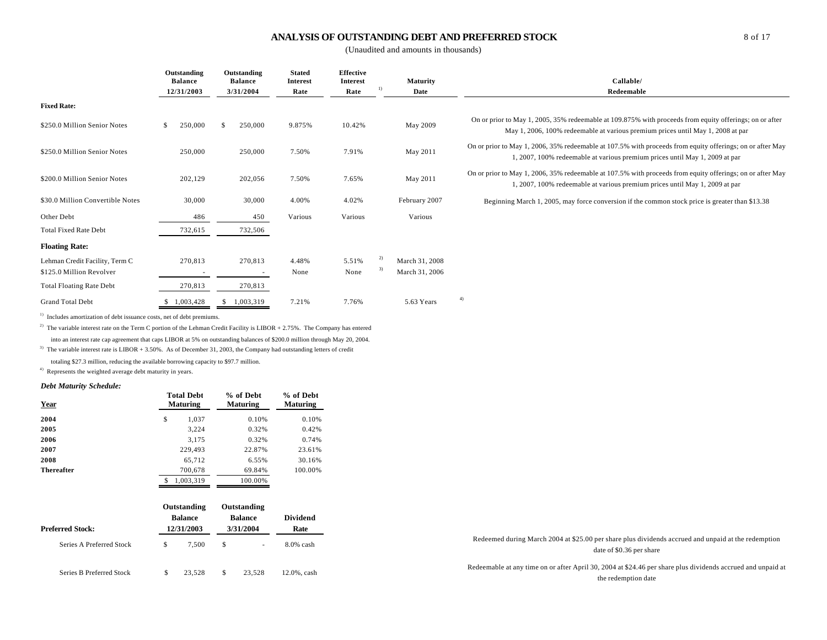### **ANALYSIS OF OUTSTANDING DEBT AND PREFERRED STOCK**

(Unaudited and amounts in thousands)

|                                  | Outstanding<br><b>Balance</b><br>12/31/2003 | Outstanding<br><b>Balance</b><br>3/31/2004 | <b>Stated</b><br><b>Interest</b><br>Rate | <b>Effective</b><br><b>Interest</b><br>Rate | $\left  \right $ | Maturity<br>Date | Callable/<br>Redeemable                                                                                                                                                                    |
|----------------------------------|---------------------------------------------|--------------------------------------------|------------------------------------------|---------------------------------------------|------------------|------------------|--------------------------------------------------------------------------------------------------------------------------------------------------------------------------------------------|
| <b>Fixed Rate:</b>               |                                             |                                            |                                          |                                             |                  |                  |                                                                                                                                                                                            |
| \$250.0 Million Senior Notes     | 250,000<br>\$                               | 250,000                                    | 9.875%                                   | 10.42%                                      |                  | May 2009         | On or prior to May 1, 2005, 35% redeemable at 109.875% with proceeds from equity offerings; on or after<br>May 1, 2006, 100% redeemable at various premium prices until May 1, 2008 at par |
| \$250.0 Million Senior Notes     | 250,000                                     | 250,000                                    | 7.50%                                    | 7.91%                                       |                  | May 2011         | On or prior to May 1, 2006, 35% redeemable at 107.5% with proceeds from equity offerings; on or after May<br>1, 2007, 100% redeemable at various premium prices until May 1, 2009 at par   |
| \$200.0 Million Senior Notes     | 202,129                                     | 202,056                                    | 7.50%                                    | 7.65%                                       |                  | May 2011         | On or prior to May 1, 2006, 35% redeemable at 107.5% with proceeds from equity offerings; on or after May<br>1, 2007, 100% redeemable at various premium prices until May 1, 2009 at par   |
| \$30.0 Million Convertible Notes | 30,000                                      | 30,000                                     | 4.00%                                    | 4.02%                                       |                  | February 2007    | Beginning March 1, 2005, may force conversion if the common stock price is greater than \$13.38                                                                                            |
| Other Debt                       | 486                                         | 450                                        | Various                                  | Various                                     |                  | Various          |                                                                                                                                                                                            |
| <b>Total Fixed Rate Debt</b>     | 732,615                                     | 732,506                                    |                                          |                                             |                  |                  |                                                                                                                                                                                            |
| <b>Floating Rate:</b>            |                                             |                                            |                                          |                                             |                  |                  |                                                                                                                                                                                            |
| Lehman Credit Facility, Term C   | 270,813                                     | 270,813                                    | 4.48%                                    | 5.51%                                       | 2)               | March 31, 2008   |                                                                                                                                                                                            |
| \$125.0 Million Revolver         | $\overline{\phantom{a}}$                    | $\overline{\phantom{a}}$                   | None                                     | None                                        | 3)               | March 31, 2006   |                                                                                                                                                                                            |
| <b>Total Floating Rate Debt</b>  | 270,813                                     | 270,813                                    |                                          |                                             |                  |                  |                                                                                                                                                                                            |
| <b>Grand Total Debt</b>          | 1,003,428                                   | 1,003,319                                  | 7.21%                                    | 7.76%                                       |                  | 5.63 Years       | 4)                                                                                                                                                                                         |

<sup>1)</sup> Includes amortization of debt issuance costs, net of debt premiums.

<sup>2)</sup> The variable interest rate on the Term C portion of the Lehman Credit Facility is LIBOR + 2.75%. The Company has entered into an interest rate cap agreement that caps LIBOR at 5% on outstanding balances of \$200.0 million through May 20, 2004.

<sup>3)</sup> The variable interest rate is LIBOR + 3.50%. As of December 31, 2003, the Company had outstanding letters of credit

totaling \$27.3 million, reducing the available borrowing capacity to \$97.7 million.

4) Represents the weighted average debt maturity in years.

#### *Debt Maturity Schedule:*

| Year              | <b>Total Debt</b><br><b>Maturing</b> | % of Debt<br><b>Maturing</b> | % of Debt<br><b>Maturing</b> |
|-------------------|--------------------------------------|------------------------------|------------------------------|
| 2004              | \$<br>1,037                          | 0.10%                        | 0.10%                        |
| 2005              | 3,224                                | 0.32%                        | 0.42%                        |
| 2006              | 3,175                                | 0.32%                        | 0.74%                        |
| 2007              | 229,493                              | 22.87%                       | 23.61%                       |
| 2008              | 65,712                               | 6.55%                        | 30.16%                       |
| <b>Thereafter</b> | 700,678                              | 69.84%                       | 100.00%                      |
|                   | 1,003,319                            | 100.00%                      |                              |
|                   |                                      |                              |                              |

|                          | Outstanding    | Outstanding    |              |                                                                                                                                    |
|--------------------------|----------------|----------------|--------------|------------------------------------------------------------------------------------------------------------------------------------|
|                          | <b>Balance</b> | <b>Balance</b> | Dividend     |                                                                                                                                    |
| <b>Preferred Stock:</b>  | 12/31/2003     | 3/31/2004      | Rate         |                                                                                                                                    |
| Series A Preferred Stock | 7.500          |                | $8.0\%$ cash | Redeemed during March 2004 at \$25.00 per share plus dividends accrued and unpaid at the redemption<br>date of \$0.36 per share    |
| Series B Preferred Stock | 23.528         | 23.528         | 12.0%, cash  | Redeemable at any time on or after April 30, 2004 at \$24.46 per share plus dividends accrued and unpaid at<br>the redemption date |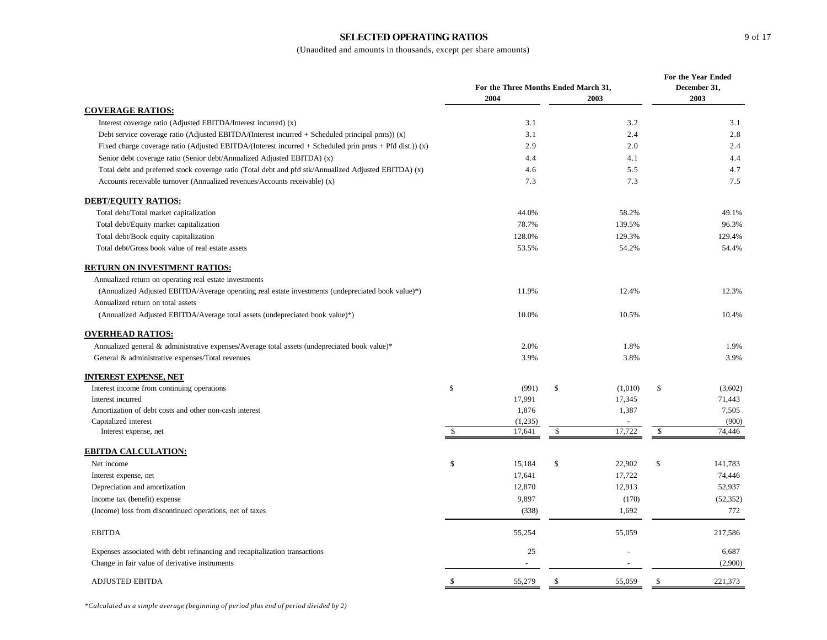### **SELECTED OPERATING RATIOS**

|                                                                                                         | For the Three Months Ended March 31, |         |    |                |    | For the Year Ended<br>December 31, |  |  |
|---------------------------------------------------------------------------------------------------------|--------------------------------------|---------|----|----------------|----|------------------------------------|--|--|
|                                                                                                         |                                      | 2004    |    | 2003           |    | 2003                               |  |  |
| <b>COVERAGE RATIOS:</b>                                                                                 |                                      |         |    |                |    |                                    |  |  |
| Interest coverage ratio (Adjusted EBITDA/Interest incurred) (x)                                         |                                      | 3.1     |    | 3.2            |    | 3.1                                |  |  |
| Debt service coverage ratio (Adjusted EBITDA/(Interest incurred + Scheduled principal pmts)) $(x)$      |                                      | 3.1     |    | 2.4            |    | 2.8                                |  |  |
| Fixed charge coverage ratio (Adjusted EBITDA/(Interest incurred + Scheduled prin pmts + Pfd dist.)) (x) |                                      | 2.9     |    | 2.0            |    | 2.4                                |  |  |
| Senior debt coverage ratio (Senior debt/Annualized Adjusted EBITDA) (x)                                 |                                      | 4.4     |    | 4.1            |    | 4.4                                |  |  |
| Total debt and preferred stock coverage ratio (Total debt and pfd stk/Annualized Adjusted EBITDA) (x)   |                                      | 4.6     |    | 5.5            |    | 4.7                                |  |  |
| Accounts receivable turnover (Annualized revenues/Accounts receivable) (x)                              |                                      | 7.3     |    | 7.3            |    | 7.5                                |  |  |
| <b>DEBT/EQUITY RATIOS:</b>                                                                              |                                      |         |    |                |    |                                    |  |  |
| Total debt/Total market capitalization                                                                  |                                      | 44.0%   |    | 58.2%          |    | 49.1%                              |  |  |
| Total debt/Equity market capitalization                                                                 |                                      | 78.7%   |    | 139.5%         |    | 96.3%                              |  |  |
| Total debt/Book equity capitalization                                                                   |                                      | 128.0%  |    | 129.3%         |    | 129.4%                             |  |  |
| Total debt/Gross book value of real estate assets                                                       |                                      | 53.5%   |    | 54.2%          |    | 54.4%                              |  |  |
| <b>RETURN ON INVESTMENT RATIOS:</b>                                                                     |                                      |         |    |                |    |                                    |  |  |
| Annualized return on operating real estate investments                                                  |                                      |         |    |                |    |                                    |  |  |
| (Annualized Adjusted EBITDA/Average operating real estate investments (undepreciated book value)*)      |                                      | 11.9%   |    | 12.4%          |    | 12.3%                              |  |  |
| Annualized return on total assets                                                                       |                                      |         |    |                |    |                                    |  |  |
| (Annualized Adjusted EBITDA/Average total assets (undepreciated book value)*)                           |                                      | 10.0%   |    | 10.5%          |    | 10.4%                              |  |  |
| <b>OVERHEAD RATIOS:</b>                                                                                 |                                      |         |    |                |    |                                    |  |  |
| Annualized general & administrative expenses/Average total assets (undepreciated book value)*           |                                      | 2.0%    |    | 1.8%           |    | 1.9%                               |  |  |
| General & administrative expenses/Total revenues                                                        |                                      | 3.9%    |    | 3.8%           |    | 3.9%                               |  |  |
| <b>INTEREST EXPENSE, NET</b>                                                                            |                                      |         |    |                |    |                                    |  |  |
| Interest income from continuing operations                                                              | \$                                   | (991)   | \$ | (1,010)        | \$ | (3,602)                            |  |  |
| Interest incurred                                                                                       |                                      | 17,991  |    | 17,345         |    | 71,443                             |  |  |
| Amortization of debt costs and other non-cash interest                                                  |                                      | 1,876   |    | 1,387          |    | 7,505                              |  |  |
| Capitalized interest                                                                                    |                                      | (1,235) |    |                |    | (900)                              |  |  |
| Interest expense, net                                                                                   | $\mathbb{S}$                         | 17,641  | \$ | 17,722         | \$ | 74,446                             |  |  |
| <b>EBITDA CALCULATION:</b>                                                                              |                                      |         |    |                |    |                                    |  |  |
| Net income                                                                                              | \$                                   | 15,184  | \$ | 22,902         | \$ | 141,783                            |  |  |
| Interest expense, net                                                                                   |                                      | 17,641  |    | 17,722         |    | 74,446                             |  |  |
| Depreciation and amortization                                                                           |                                      | 12,870  |    | 12,913         |    | 52,937                             |  |  |
| Income tax (benefit) expense                                                                            |                                      | 9,897   |    | (170)          |    | (52, 352)                          |  |  |
| (Income) loss from discontinued operations, net of taxes                                                |                                      | (338)   |    | 1,692          |    | 772                                |  |  |
| <b>EBITDA</b>                                                                                           |                                      | 55,254  |    | 55,059         |    | 217,586                            |  |  |
| Expenses associated with debt refinancing and recapitalization transactions                             |                                      | 25      |    |                |    | 6,687                              |  |  |
| Change in fair value of derivative instruments                                                          |                                      | $\sim$  |    | $\overline{a}$ |    | (2,900)                            |  |  |
| <b>ADJUSTED EBITDA</b>                                                                                  | \$                                   | 55,279  | \$ | 55,059         | \$ | 221,373                            |  |  |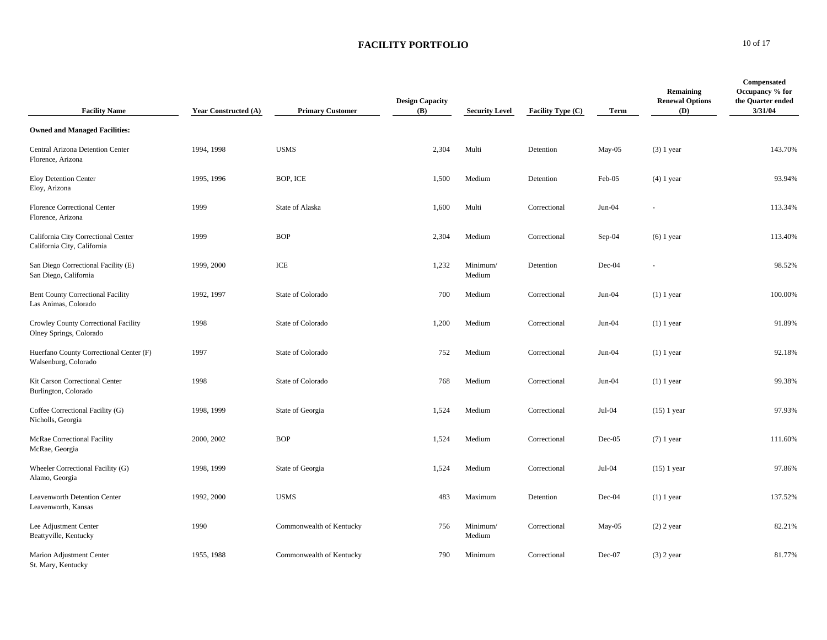### **FACILITY PORTFOLIO** 10 of 17

| <b>Facility Name</b>                                               | <b>Year Constructed (A)</b> | <b>Primary Customer</b>  | <b>Design Capacity</b><br><b>(B)</b> | <b>Security Level</b> | Facility Type (C) | Term     | Remaining<br><b>Renewal Options</b><br>(D) | <b>Compensated</b><br>Occupancy % for<br>the Quarter ended<br>3/31/04 |
|--------------------------------------------------------------------|-----------------------------|--------------------------|--------------------------------------|-----------------------|-------------------|----------|--------------------------------------------|-----------------------------------------------------------------------|
| <b>Owned and Managed Facilities:</b>                               |                             |                          |                                      |                       |                   |          |                                            |                                                                       |
| Central Arizona Detention Center<br>Florence, Arizona              | 1994, 1998                  | <b>USMS</b>              | 2,304                                | Multi                 | Detention         | May-05   | $(3)$ 1 year                               | 143.70%                                                               |
| <b>Eloy Detention Center</b><br>Eloy, Arizona                      | 1995, 1996                  | BOP, ICE                 | 1,500                                | Medium                | Detention         | Feb-05   | $(4)$ 1 year                               | 93.94%                                                                |
| <b>Florence Correctional Center</b><br>Florence, Arizona           | 1999                        | State of Alaska          | 1,600                                | Multi                 | Correctional      | $Jun-04$ |                                            | 113.34%                                                               |
| California City Correctional Center<br>California City, California | 1999                        | <b>BOP</b>               | 2,304                                | Medium                | Correctional      | Sep-04   | $(6)$ 1 year                               | 113.40%                                                               |
| San Diego Correctional Facility (E)<br>San Diego, California       | 1999, 2000                  | ICE                      | 1,232                                | Minimum/<br>Medium    | Detention         | Dec-04   |                                            | 98.52%                                                                |
| <b>Bent County Correctional Facility</b><br>Las Animas, Colorado   | 1992, 1997                  | State of Colorado        | 700                                  | Medium                | Correctional      | $Jun-04$ | $(1)$ 1 year                               | 100.00%                                                               |
| Crowley County Correctional Facility<br>Olney Springs, Colorado    | 1998                        | State of Colorado        | 1,200                                | Medium                | Correctional      | $Jun-04$ | $(1)$ 1 year                               | 91.89%                                                                |
| Huerfano County Correctional Center (F)<br>Walsenburg, Colorado    | 1997                        | State of Colorado        | 752                                  | Medium                | Correctional      | $Jun-04$ | $(1)$ 1 year                               | 92.18%                                                                |
| Kit Carson Correctional Center<br>Burlington, Colorado             | 1998                        | State of Colorado        | 768                                  | Medium                | Correctional      | $Jun-04$ | $(1)$ 1 year                               | 99.38%                                                                |
| Coffee Correctional Facility (G)<br>Nicholls, Georgia              | 1998, 1999                  | State of Georgia         | 1,524                                | Medium                | Correctional      | $Jul-04$ | $(15)$ 1 year                              | 97.93%                                                                |
| McRae Correctional Facility<br>McRae, Georgia                      | 2000, 2002                  | <b>BOP</b>               | 1,524                                | Medium                | Correctional      | $Dec-05$ | $(7)$ 1 year                               | 111.60%                                                               |
| Wheeler Correctional Facility (G)<br>Alamo, Georgia                | 1998, 1999                  | State of Georgia         | 1,524                                | Medium                | Correctional      | Jul-04   | $(15)$ 1 year                              | 97.86%                                                                |
| <b>Leavenworth Detention Center</b><br>Leavenworth, Kansas         | 1992, 2000                  | <b>USMS</b>              | 483                                  | Maximum               | Detention         | Dec-04   | $(1)$ 1 year                               | 137.52%                                                               |
| Lee Adjustment Center<br>Beattyville, Kentucky                     | 1990                        | Commonwealth of Kentucky | 756                                  | Minimum/<br>Medium    | Correctional      | May-05   | $(2)$ 2 year                               | 82.21%                                                                |
| Marion Adjustment Center<br>St. Mary, Kentucky                     | 1955, 1988                  | Commonwealth of Kentucky | 790                                  | Minimum               | Correctional      | $Dec-07$ | $(3)$ 2 year                               | 81.77%                                                                |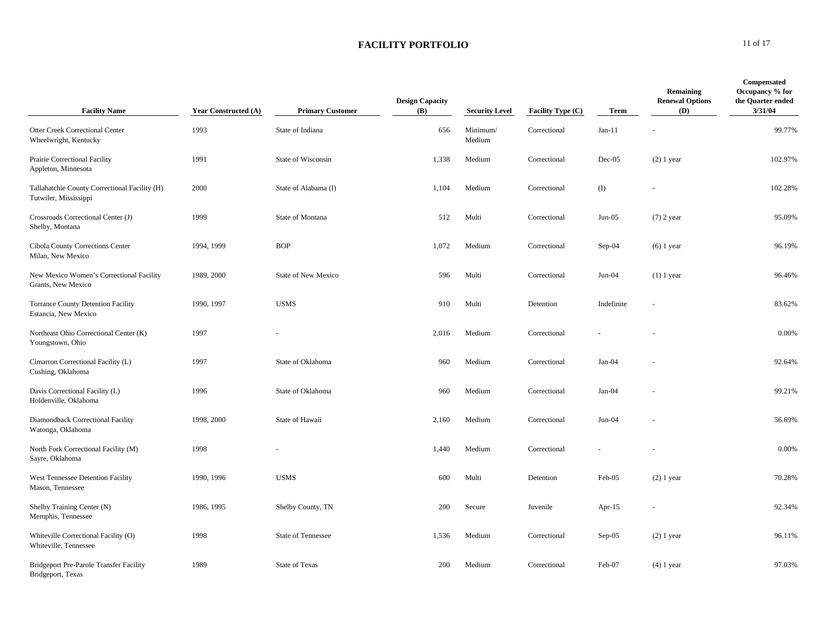### **FACILITY PORTFOLIO** 11 of 17

| <b>Facility Name</b>                                                   | <b>Year Constructed (A)</b> | <b>Primary Customer</b> | <b>Design Capacity</b><br><b>(B)</b> | <b>Security Level</b> | <b>Facility Type (C)</b> | Term       | Remaining<br><b>Renewal Options</b><br><b>(D)</b> | <b>Compensated</b><br>Occupancy % for<br>the Quarter ended<br>3/31/04 |
|------------------------------------------------------------------------|-----------------------------|-------------------------|--------------------------------------|-----------------------|--------------------------|------------|---------------------------------------------------|-----------------------------------------------------------------------|
| <b>Otter Creek Correctional Center</b><br>Wheelwright, Kentucky        | 1993                        | State of Indiana        | 656                                  | Minimum/<br>Medium    | Correctional             | $Jan-11$   |                                                   | 99.77%                                                                |
| Prairie Correctional Facility<br>Appleton, Minnesota                   | 1991                        | State of Wisconsin      | 1,338                                | Medium                | Correctional             | $Dec-05$   | $(2)$ 1 year                                      | 102.97%                                                               |
| Tallahatchie County Correctional Facility (H)<br>Tutwiler, Mississippi | 2000                        | State of Alabama (I)    | 1,104                                | Medium                | Correctional             | (I)        |                                                   | 102.28%                                                               |
| Crossroads Correctional Center (J)<br>Shelby, Montana                  | 1999                        | State of Montana        | 512                                  | Multi                 | Correctional             | $Jun-05$   | $(7)$ 2 year                                      | 95.09%                                                                |
| Cibola County Corrections Center<br>Milan, New Mexico                  | 1994, 1999                  | <b>BOP</b>              | 1,072                                | Medium                | Correctional             | $Sep-04$   | $(6)$ 1 year                                      | 96.19%                                                                |
| New Mexico Women's Correctional Facility<br>Grants, New Mexico         | 1989, 2000                  | State of New Mexico     | 596                                  | Multi                 | Correctional             | $Jun-04$   | $(1)$ 1 year                                      | 96.46%                                                                |
| <b>Torrance County Detention Facility</b><br>Estancia, New Mexico      | 1990, 1997                  | <b>USMS</b>             | 910                                  | Multi                 | Detention                | Indefinite |                                                   | 83.62%                                                                |
| Northeast Ohio Correctional Center (K)<br>Youngstown, Ohio             | 1997                        |                         | 2,016                                | Medium                | Correctional             |            |                                                   | 0.00%                                                                 |
| Cimarron Correctional Facility (L)<br>Cushing, Oklahoma                | 1997                        | State of Oklahoma       | 960                                  | Medium                | Correctional             | $Jan-04$   |                                                   | 92.64%                                                                |
| Davis Correctional Facility (L)<br>Holdenville, Oklahoma               | 1996                        | State of Oklahoma       | 960                                  | Medium                | Correctional             | $Jan-04$   |                                                   | 99.21%                                                                |
| Diamondback Correctional Facility<br>Watonga, Oklahoma                 | 1998, 2000                  | State of Hawaii         | 2,160                                | Medium                | Correctional             | $Jun-04$   |                                                   | 56.69%                                                                |
| North Fork Correctional Facility (M)<br>Sayre, Oklahoma                | 1998                        |                         | 1,440                                | Medium                | Correctional             |            |                                                   | 0.00%                                                                 |
| West Tennessee Detention Facility<br>Mason, Tennessee                  | 1990, 1996                  | <b>USMS</b>             | 600                                  | Multi                 | Detention                | Feb-05     | $(2)$ 1 year                                      | 70.28%                                                                |
| Shelby Training Center (N)<br>Memphis, Tennessee                       | 1986, 1995                  | Shelby County, TN       | 200                                  | Secure                | Juvenile                 | Apr- $15$  |                                                   | 92.34%                                                                |
| Whiteville Correctional Facility (O)<br>Whiteville, Tennessee          | 1998                        | State of Tennessee      | 1,536                                | Medium                | Correctional             | $Sep-05$   | $(2)$ 1 year                                      | 96.11%                                                                |
| <b>Bridgeport Pre-Parole Transfer Facility</b><br>Bridgeport, Texas    | 1989                        | State of Texas          | 200                                  | Medium                | Correctional             | Feb-07     | $(4)$ 1 year                                      | 97.03%                                                                |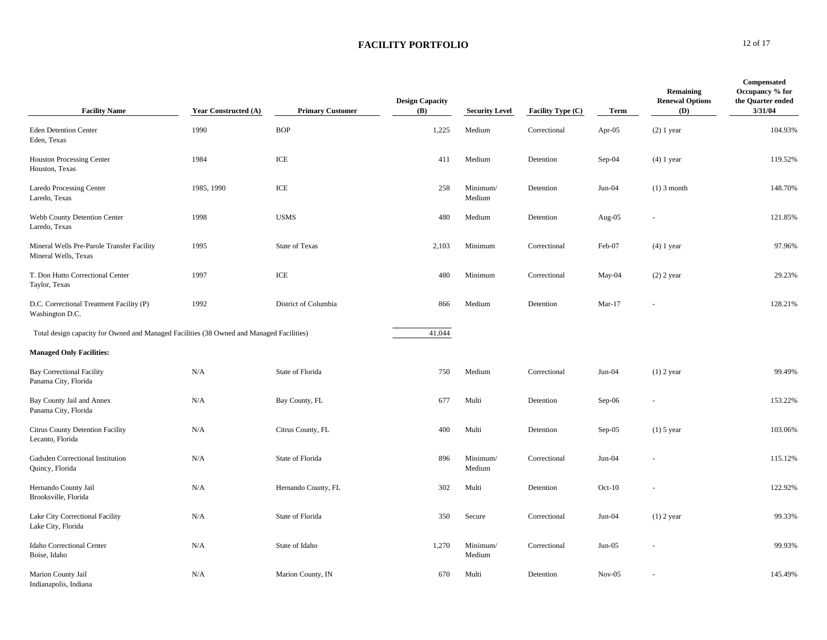### **FACILITY PORTFOLIO** 12 of 17

| <b>Facility Name</b>                                                                     | <b>Year Constructed (A)</b> | <b>Primary Customer</b> | <b>Design Capacity</b><br>(B) | <b>Security Level</b> | Facility Type (C) | Term     | Remaining<br><b>Renewal Options</b><br>(D) | Compensated<br>Occupancy % for<br>the Quarter ended<br>3/31/04 |
|------------------------------------------------------------------------------------------|-----------------------------|-------------------------|-------------------------------|-----------------------|-------------------|----------|--------------------------------------------|----------------------------------------------------------------|
| <b>Eden Detention Center</b><br>Eden, Texas                                              | 1990                        | <b>BOP</b>              | 1,225                         | Medium                | Correctional      | Apr-05   | $(2)$ 1 year                               | 104.93%                                                        |
| <b>Houston Processing Center</b><br>Houston, Texas                                       | 1984                        | ICE                     | 411                           | Medium                | Detention         | Sep-04   | $(4)$ 1 year                               | 119.52%                                                        |
| <b>Laredo Processing Center</b><br>Laredo, Texas                                         | 1985, 1990                  | ICE                     | 258                           | Minimum/<br>Medium    | Detention         | $Jun-04$ | $(1)$ 3 month                              | 148.70%                                                        |
| Webb County Detention Center<br>Laredo, Texas                                            | 1998                        | <b>USMS</b>             | 480                           | Medium                | Detention         | Aug-05   |                                            | 121.85%                                                        |
| Mineral Wells Pre-Parole Transfer Facility<br>Mineral Wells, Texas                       | 1995                        | <b>State of Texas</b>   | 2,103                         | Minimum               | Correctional      | Feb-07   | $(4)$ 1 year                               | 97.96%                                                         |
| T. Don Hutto Correctional Center<br>Taylor, Texas                                        | 1997                        | ICE                     | 480                           | Minimum               | Correctional      | May-04   | $(2)$ 2 year                               | 29.23%                                                         |
| D.C. Correctional Treatment Facility (P)<br>Washington D.C.                              | 1992                        | District of Columbia    | 866                           | Medium                | Detention         | $Mar-17$ |                                            | 128.21%                                                        |
| Total design capacity for Owned and Managed Facilities (38 Owned and Managed Facilities) |                             |                         | 41,044                        |                       |                   |          |                                            |                                                                |
| <b>Managed Only Facilities:</b>                                                          |                             |                         |                               |                       |                   |          |                                            |                                                                |
| <b>Bay Correctional Facility</b><br>Panama City, Florida                                 | N/A                         | State of Florida        | 750                           | Medium                | Correctional      | $Jun-04$ | $(1)$ 2 year                               | 99.49%                                                         |
| Bay County Jail and Annex<br>Panama City, Florida                                        | N/A                         | Bay County, FL          | 677                           | Multi                 | Detention         | Sep-06   |                                            | 153.22%                                                        |
| Citrus County Detention Facility<br>Lecanto, Florida                                     | N/A                         | Citrus County, FL       | 400                           | Multi                 | Detention         | $Sep-05$ | $(1)$ 5 year                               | 103.06%                                                        |
| Gadsden Correctional Institution<br>Quincy, Florida                                      | N/A                         | State of Florida        | 896                           | Minimum/<br>Medium    | Correctional      | $Jun-04$ |                                            | 115.12%                                                        |
| Hernando County Jail<br>Brooksville, Florida                                             | N/A                         | Hernando County, FL     | 302                           | Multi                 | Detention         | $Oct-10$ |                                            | 122.92%                                                        |
| Lake City Correctional Facility<br>Lake City, Florida                                    | N/A                         | State of Florida        | 350                           | Secure                | Correctional      | $Jun-04$ | $(1)$ 2 year                               | 99.33%                                                         |
| Idaho Correctional Center<br>Boise, Idaho                                                | N/A                         | State of Idaho          | 1,270                         | Minimum/<br>Medium    | Correctional      | $Jun-05$ |                                            | 99.93%                                                         |
| Marion County Jail<br>Indianapolis, Indiana                                              | N/A                         | Marion County, IN       | 670                           | Multi                 | Detention         | $Nov-05$ |                                            | 145.49%                                                        |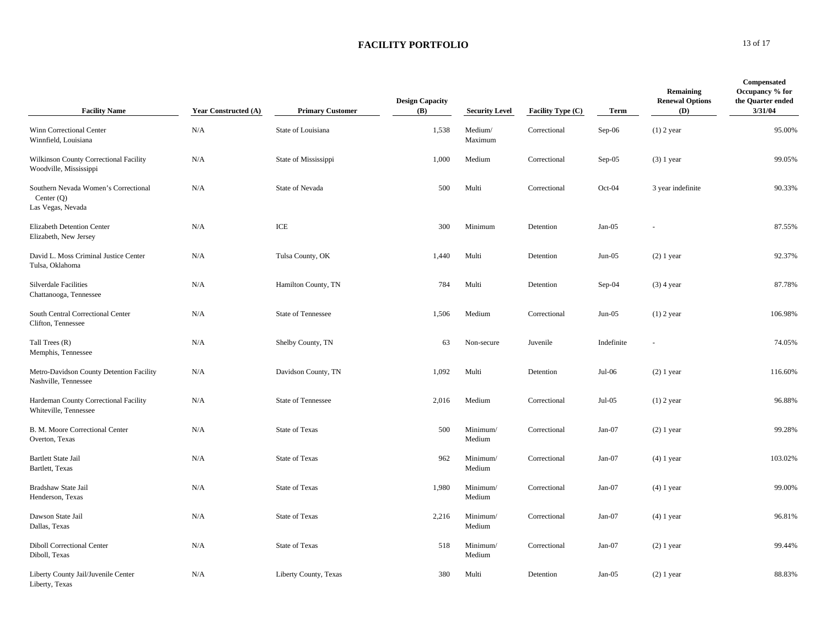### **FACILITY PORTFOLIO** 13 of 17

| <b>Facility Name</b>                                                      | <b>Year Constructed (A)</b> | <b>Primary Customer</b> | <b>Design Capacity</b><br><b>(B)</b> | <b>Security Level</b> | <b>Facility Type (C)</b> | Term       | Remaining<br><b>Renewal Options</b><br>(D) | <b>Compensated</b><br>Occupancy % for<br>the Quarter ended<br>3/31/04 |
|---------------------------------------------------------------------------|-----------------------------|-------------------------|--------------------------------------|-----------------------|--------------------------|------------|--------------------------------------------|-----------------------------------------------------------------------|
| Winn Correctional Center<br>Winnfield, Louisiana                          | N/A                         | State of Louisiana      | 1,538                                | Medium/<br>Maximum    | Correctional             | Sep-06     | $(1)$ 2 year                               | 95.00%                                                                |
| Wilkinson County Correctional Facility<br>Woodville, Mississippi          | N/A                         | State of Mississippi    | 1,000                                | Medium                | Correctional             | Sep-05     | $(3)$ 1 year                               | 99.05%                                                                |
| Southern Nevada Women's Correctional<br>Center $(Q)$<br>Las Vegas, Nevada | N/A                         | State of Nevada         | 500                                  | Multi                 | Correctional             | Oct-04     | 3 year indefinite                          | 90.33%                                                                |
| Elizabeth Detention Center<br>Elizabeth, New Jersey                       | N/A                         | ICE                     | 300                                  | Minimum               | Detention                | $Jan-05$   |                                            | 87.55%                                                                |
| David L. Moss Criminal Justice Center<br>Tulsa, Oklahoma                  | N/A                         | Tulsa County, OK        | 1,440                                | Multi                 | Detention                | $Jun-05$   | $(2)$ 1 year                               | 92.37%                                                                |
| <b>Silverdale Facilities</b><br>Chattanooga, Tennessee                    | N/A                         | Hamilton County, TN     | 784                                  | Multi                 | Detention                | $Sep-04$   | $(3)$ 4 year                               | 87.78%                                                                |
| South Central Correctional Center<br>Clifton, Tennessee                   | N/A                         | State of Tennessee      | 1,506                                | Medium                | Correctional             | $Jun-05$   | $(1)$ 2 year                               | 106.98%                                                               |
| Tall Trees (R)<br>Memphis, Tennessee                                      | N/A                         | Shelby County, TN       | 63                                   | Non-secure            | Juvenile                 | Indefinite |                                            | 74.05%                                                                |
| Metro-Davidson County Detention Facility<br>Nashville, Tennessee          | N/A                         | Davidson County, TN     | 1,092                                | Multi                 | Detention                | $Jul-06$   | $(2)$ 1 year                               | 116.60%                                                               |
| Hardeman County Correctional Facility<br>Whiteville, Tennessee            | N/A                         | State of Tennessee      | 2,016                                | Medium                | Correctional             | $Jul-05$   | $(1)$ 2 year                               | 96.88%                                                                |
| B. M. Moore Correctional Center<br>Overton, Texas                         | N/A                         | <b>State of Texas</b>   | 500                                  | Minimum/<br>Medium    | Correctional             | $Jan-07$   | $(2)$ 1 year                               | 99.28%                                                                |
| <b>Bartlett State Jail</b><br>Bartlett, Texas                             | N/A                         | <b>State of Texas</b>   | 962                                  | Minimum/<br>Medium    | Correctional             | $Jan-07$   | $(4)$ 1 year                               | 103.02%                                                               |
| Bradshaw State Jail<br>Henderson, Texas                                   | N/A                         | <b>State of Texas</b>   | 1,980                                | Minimum/<br>Medium    | Correctional             | Jan-07     | $(4)$ 1 year                               | 99.00%                                                                |
| Dawson State Jail<br>Dallas, Texas                                        | N/A                         | State of Texas          | 2,216                                | Minimum/<br>Medium    | Correctional             | $Jan-07$   | $(4)$ 1 year                               | 96.81%                                                                |
| <b>Diboll Correctional Center</b><br>Diboll, Texas                        | N/A                         | <b>State of Texas</b>   | 518                                  | Minimum/<br>Medium    | Correctional             | $Jan-07$   | $(2)$ 1 year                               | 99.44%                                                                |
| Liberty County Jail/Juvenile Center<br>Liberty, Texas                     | N/A                         | Liberty County, Texas   | 380                                  | Multi                 | Detention                | $Jan-05$   | $(2)$ 1 year                               | 88.83%                                                                |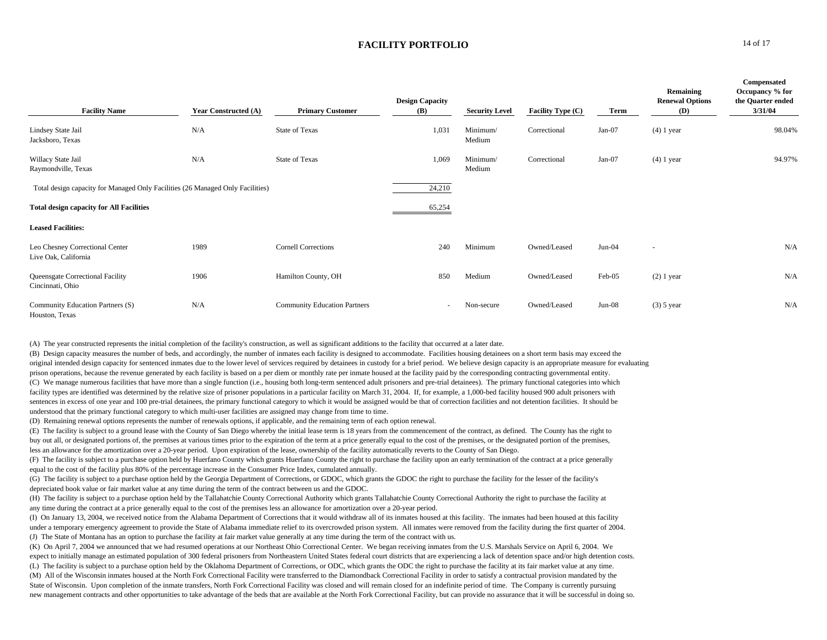#### **FACILITY PORTFOLIO** 14 of 17

| <b>Facility Name</b>                                                           | <b>Year Constructed (A)</b> | <b>Primary Customer</b>             | <b>Design Capacity</b><br><b>(B)</b> | <b>Security Level</b> | Facility Type (C) | Term     | Remaining<br><b>Renewal Options</b><br>(D) | Compensated<br>Occupancy % for<br>the Quarter ended<br>3/31/04 |
|--------------------------------------------------------------------------------|-----------------------------|-------------------------------------|--------------------------------------|-----------------------|-------------------|----------|--------------------------------------------|----------------------------------------------------------------|
| Lindsey State Jail<br>Jacksboro, Texas                                         | N/A                         | <b>State of Texas</b>               | 1,031                                | Minimum/<br>Medium    | Correctional      | $Jan-07$ | $(4)$ 1 year                               | 98.04%                                                         |
| Willacy State Jail<br>Raymondville, Texas                                      | N/A                         | <b>State of Texas</b>               | 1,069                                | Minimum/<br>Medium    | Correctional      | $Jan-07$ | $(4)$ 1 year                               | 94.97%                                                         |
| Total design capacity for Managed Only Facilities (26 Managed Only Facilities) |                             |                                     | 24,210                               |                       |                   |          |                                            |                                                                |
| <b>Total design capacity for All Facilities</b>                                |                             |                                     | 65,254                               |                       |                   |          |                                            |                                                                |
| <b>Leased Facilities:</b>                                                      |                             |                                     |                                      |                       |                   |          |                                            |                                                                |
| Leo Chesney Correctional Center<br>Live Oak, California                        | 1989                        | <b>Cornell Corrections</b>          | 240                                  | Minimum               | Owned/Leased      | $Jun-04$ | $\overline{a}$                             | N/A                                                            |
| Queensgate Correctional Facility<br>Cincinnati, Ohio                           | 1906                        | Hamilton County, OH                 | 850                                  | Medium                | Owned/Leased      | Feb-05   | $(2)$ 1 year                               | N/A                                                            |
| Community Education Partners (S)<br>Houston, Texas                             | N/A                         | <b>Community Education Partners</b> | $\sim$                               | Non-secure            | Owned/Leased      | $Jun-08$ | $(3)$ 5 year                               | N/A                                                            |

(A) The year constructed represents the initial completion of the facility's construction, as well as significant additions to the facility that occurred at a later date.

(B) Design capacity measures the number of beds, and accordingly, the number of inmates each facility is designed to accommodate. Facilities housing detainees on a short term basis may exceed the original intended design capacity for sentenced inmates due to the lower level of services required by detainees in custody for a brief period. We believe design capacity is an appropriate measure for evaluating prison operations, because the revenue generated by each facility is based on a per diem or monthly rate per inmate housed at the facility paid by the corresponding contracting governmental entity. (C) We manage numerous facilities that have more than a single function (i.e., housing both long-term sentenced adult prisoners and pre-trial detainees). The primary functional categories into which facility types are identified was determined by the relative size of prisoner populations in a particular facility on March 31, 2004. If, for example, a 1,000-bed facility housed 900 adult prisoners with sentences in excess of one year and 100 pre-trial detainees, the primary functional category to which it would be assigned would be that of correction facilities and not detention facilities. It should be understood that the primary functional category to which multi-user facilities are assigned may change from time to time.

(D) Remaining renewal options represents the number of renewals options, if applicable, and the remaining term of each option renewal.

(E) The facility is subject to a ground lease with the County of San Diego whereby the initial lease term is 18 years from the commencement of the contract, as defined. The County has the right to buy out all, or designated portions of, the premises at various times prior to the expiration of the term at a price generally equal to the cost of the premises, or the designated portion of the premises, less an allowance for the amortization over a 20-year period. Upon expiration of the lease, ownership of the facility automatically reverts to the County of San Diego.

(F) The facility is subject to a purchase option held by Huerfano County which grants Huerfano County the right to purchase the facility upon an early termination of the contract at a price generally equal to the cost of the facility plus 80% of the percentage increase in the Consumer Price Index, cumulated annually.

(G) The facility is subject to a purchase option held by the Georgia Department of Corrections, or GDOC, which grants the GDOC the right to purchase the facility for the lesser of the facility's depreciated book value or fair market value at any time during the term of the contract between us and the GDOC.

(H) The facility is subject to a purchase option held by the Tallahatchie County Correctional Authority which grants Tallahatchie County Correctional Authority the right to purchase the facility at any time during the contract at a price generally equal to the cost of the premises less an allowance for amortization over a 20-year period.

(I) On January 13, 2004, we received notice from the Alabama Department of Corrections that it would withdraw all of its inmates housed at this facility. The inmates had been housed at this facility under a temporary emergency agreement to provide the State of Alabama immediate relief to its overcrowded prison system. All inmates were removed from the facility during the first quarter of 2004. (J) The State of Montana has an option to purchase the facility at fair market value generally at any time during the term of the contract with us.

(K) On April 7, 2004 we announced that we had resumed operations at our Northeast Ohio Correctional Center. We began receiving inmates from the U.S. Marshals Service on April 6, 2004. We expect to initially manage an estimated population of 300 federal prisoners from Northeastern United States federal court districts that are experiencing a lack of detention space and/or high detention costs. (L) The facility is subject to a purchase option held by the Oklahoma Department of Corrections, or ODC, which grants the ODC the right to purchase the facility at its fair market value at any time.

(M) All of the Wisconsin inmates housed at the North Fork Correctional Facility were transferred to the Diamondback Correctional Facility in order to satisfy a contractual provision mandated by the State of Wisconsin. Upon completion of the inmate transfers, North Fork Correctional Facility was closed and will remain closed for an indefinite period of time. The Company is currently pursuing new management contracts and other opportunities to take advantage of the beds that are available at the North Fork Correctional Facility, but can provide no assurance that it will be successful in doing so.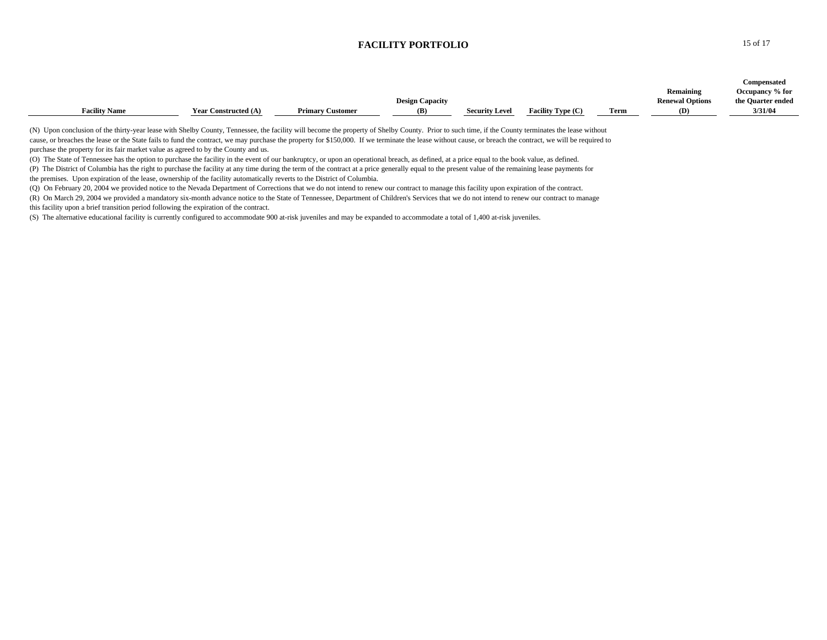## **FACILITY PORTFOLIO** 15 of 17

| <b>Facility Name</b>                                                                                                                                                                                                                                                                                                                                                                                                                                                                                                                                                                                                                                                                                                                                                                                                                                                                                                                                                                                                                                                                                                                                                                                                                                                                                                                                                                                                                                                                                                                                                                                                                                                                                         | <b>Year Constructed (A)</b> | <b>Primary Customer</b> | <b>Design Capacity</b><br>(B) | <b>Security Level</b> | Facility Type (C) | <b>Term</b> | Remaining<br><b>Renewal Options</b><br>(D) | <b>Compensated</b><br>Occupancy % for<br>the Quarter ended<br>3/31/04 |
|--------------------------------------------------------------------------------------------------------------------------------------------------------------------------------------------------------------------------------------------------------------------------------------------------------------------------------------------------------------------------------------------------------------------------------------------------------------------------------------------------------------------------------------------------------------------------------------------------------------------------------------------------------------------------------------------------------------------------------------------------------------------------------------------------------------------------------------------------------------------------------------------------------------------------------------------------------------------------------------------------------------------------------------------------------------------------------------------------------------------------------------------------------------------------------------------------------------------------------------------------------------------------------------------------------------------------------------------------------------------------------------------------------------------------------------------------------------------------------------------------------------------------------------------------------------------------------------------------------------------------------------------------------------------------------------------------------------|-----------------------------|-------------------------|-------------------------------|-----------------------|-------------------|-------------|--------------------------------------------|-----------------------------------------------------------------------|
| (N) Upon conclusion of the thirty-year lease with Shelby County, Tennessee, the facility will become the property of Shelby County. Prior to such time, if the County terminates the lease without<br>cause, or breaches the lease or the State fails to fund the contract, we may purchase the property for \$150,000. If we terminate the lease without cause, or breach the contract, we will be required to<br>purchase the property for its fair market value as agreed to by the County and us.<br>(O) The State of Tennessee has the option to purchase the facility in the event of our bankruptcy, or upon an operational breach, as defined, at a price equal to the book value, as defined.<br>(P) The District of Columbia has the right to purchase the facility at any time during the term of the contract at a price generally equal to the present value of the remaining lease payments for<br>the premises. Upon expiration of the lease, ownership of the facility automatically reverts to the District of Columbia.<br>(O) On February 20, 2004 we provided notice to the Nevada Department of Corrections that we do not intend to renew our contract to manage this facility upon expiration of the contract.<br>(R) On March 29, 2004 we provided a mandatory six-month advance notice to the State of Tennessee, Department of Children's Services that we do not intend to renew our contract to manage<br>this facility upon a brief transition period following the expiration of the contract.<br>(S) The alternative educational facility is currently configured to accommodate 900 at-risk juveniles and may be expanded to accommodate a total of 1,400 at-risk juveniles. |                             |                         |                               |                       |                   |             |                                            |                                                                       |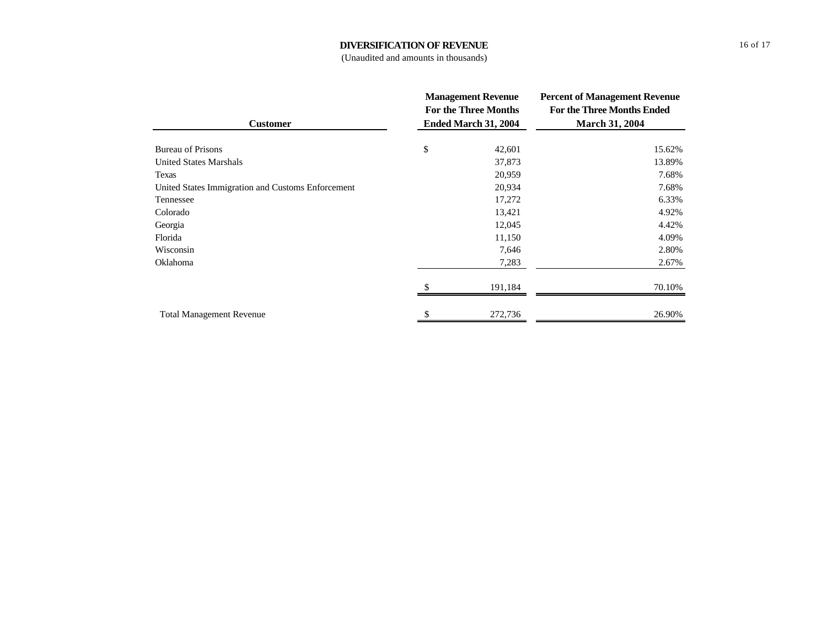### **DIVERSIFICATION OF REVENUE**

(Unaudited and amounts in thousands)

|                                                   |                             | <b>Management Revenue</b> | <b>Percent of Management Revenue</b> |  |  |
|---------------------------------------------------|-----------------------------|---------------------------|--------------------------------------|--|--|
|                                                   | <b>For the Three Months</b> |                           | <b>For the Three Months Ended</b>    |  |  |
| <b>Customer</b>                                   |                             | Ended March 31, 2004      | <b>March 31, 2004</b>                |  |  |
| <b>Bureau of Prisons</b>                          | \$                          | 42,601                    | 15.62%                               |  |  |
| <b>United States Marshals</b>                     |                             | 37,873                    | 13.89%                               |  |  |
| Texas                                             |                             | 20,959                    | 7.68%                                |  |  |
| United States Immigration and Customs Enforcement |                             | 20,934                    | 7.68%                                |  |  |
| Tennessee                                         |                             | 17,272                    | 6.33%                                |  |  |
| Colorado                                          |                             | 13,421                    | 4.92%                                |  |  |
| Georgia                                           |                             | 12,045                    | 4.42%                                |  |  |
| Florida                                           |                             | 11,150                    | 4.09%                                |  |  |
| Wisconsin                                         |                             | 7,646                     | 2.80%                                |  |  |
| Oklahoma                                          |                             | 7,283                     | 2.67%                                |  |  |
|                                                   |                             | 191,184                   | 70.10%                               |  |  |
| <b>Total Management Revenue</b>                   | \$                          | 272,736                   | 26.90%                               |  |  |